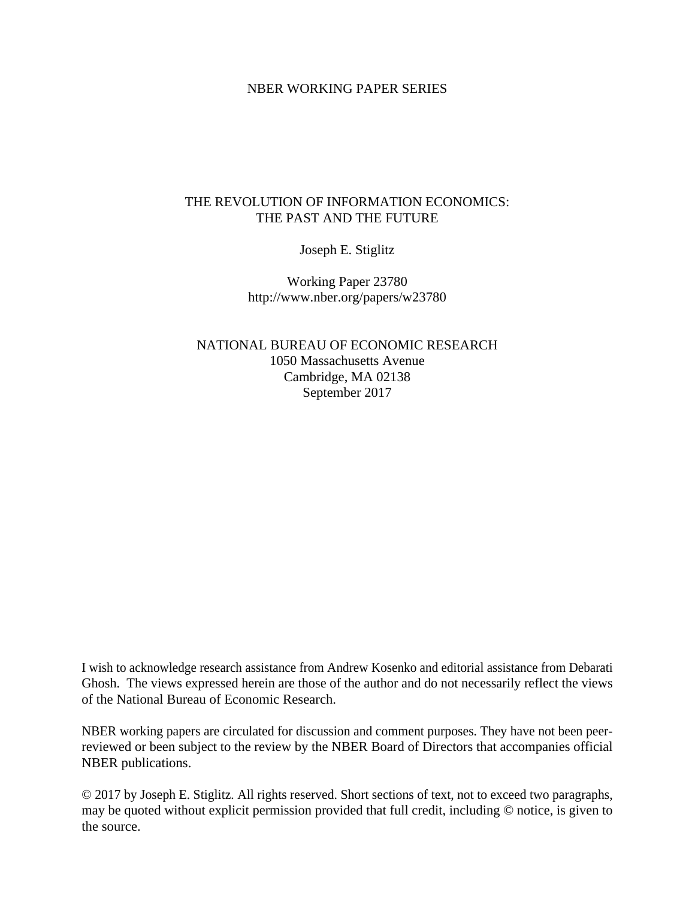#### NBER WORKING PAPER SERIES

# THE REVOLUTION OF INFORMATION ECONOMICS: THE PAST AND THE FUTURE

Joseph E. Stiglitz

Working Paper 23780 http://www.nber.org/papers/w23780

NATIONAL BUREAU OF ECONOMIC RESEARCH 1050 Massachusetts Avenue Cambridge, MA 02138 September 2017

I wish to acknowledge research assistance from Andrew Kosenko and editorial assistance from Debarati Ghosh. The views expressed herein are those of the author and do not necessarily reflect the views of the National Bureau of Economic Research.

NBER working papers are circulated for discussion and comment purposes. They have not been peerreviewed or been subject to the review by the NBER Board of Directors that accompanies official NBER publications.

© 2017 by Joseph E. Stiglitz. All rights reserved. Short sections of text, not to exceed two paragraphs, may be quoted without explicit permission provided that full credit, including © notice, is given to the source.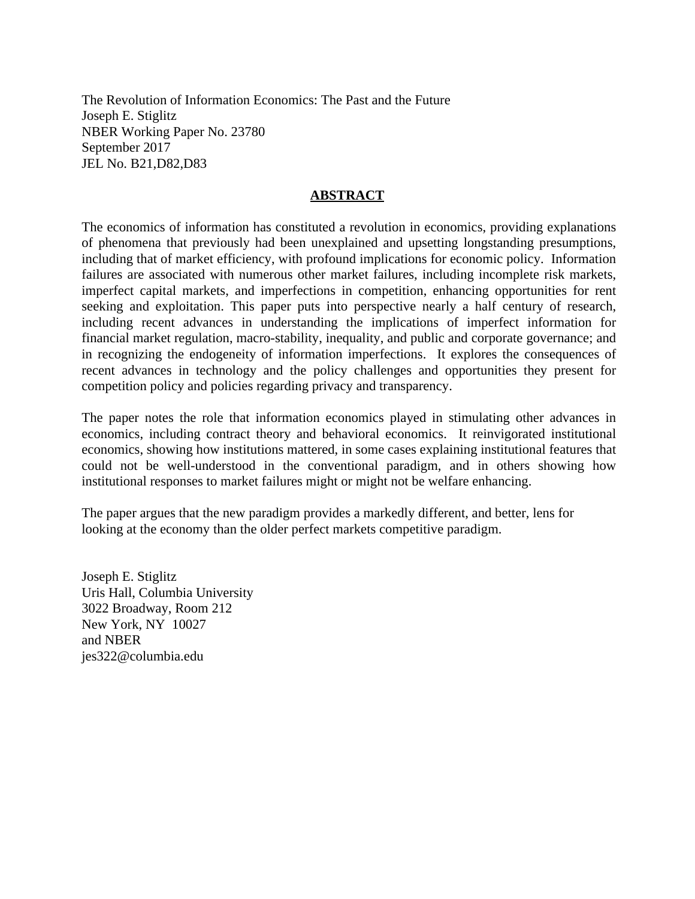The Revolution of Information Economics: The Past and the Future Joseph E. Stiglitz NBER Working Paper No. 23780 September 2017 JEL No. B21,D82,D83

## **ABSTRACT**

The economics of information has constituted a revolution in economics, providing explanations of phenomena that previously had been unexplained and upsetting longstanding presumptions, including that of market efficiency, with profound implications for economic policy. Information failures are associated with numerous other market failures, including incomplete risk markets, imperfect capital markets, and imperfections in competition, enhancing opportunities for rent seeking and exploitation. This paper puts into perspective nearly a half century of research, including recent advances in understanding the implications of imperfect information for financial market regulation, macro-stability, inequality, and public and corporate governance; and in recognizing the endogeneity of information imperfections. It explores the consequences of recent advances in technology and the policy challenges and opportunities they present for competition policy and policies regarding privacy and transparency.

The paper notes the role that information economics played in stimulating other advances in economics, including contract theory and behavioral economics. It reinvigorated institutional economics, showing how institutions mattered, in some cases explaining institutional features that could not be well-understood in the conventional paradigm, and in others showing how institutional responses to market failures might or might not be welfare enhancing.

The paper argues that the new paradigm provides a markedly different, and better, lens for looking at the economy than the older perfect markets competitive paradigm.

Joseph E. Stiglitz Uris Hall, Columbia University 3022 Broadway, Room 212 New York, NY 10027 and NBER jes322@columbia.edu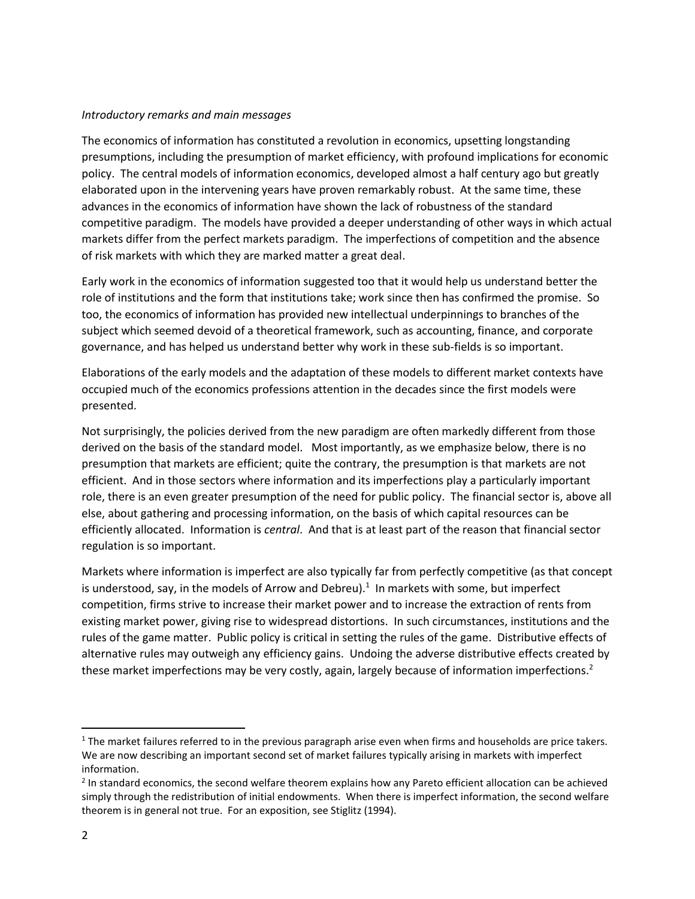#### *Introductory remarks and main messages*

The economics of information has constituted a revolution in economics, upsetting longstanding presumptions, including the presumption of market efficiency, with profound implications for economic policy. The central models of information economics, developed almost a half century ago but greatly elaborated upon in the intervening years have proven remarkably robust. At the same time, these advances in the economics of information have shown the lack of robustness of the standard competitive paradigm. The models have provided a deeper understanding of other ways in which actual markets differ from the perfect markets paradigm. The imperfections of competition and the absence of risk markets with which they are marked matter a great deal.

Early work in the economics of information suggested too that it would help us understand better the role of institutions and the form that institutions take; work since then has confirmed the promise. So too, the economics of information has provided new intellectual underpinnings to branches of the subject which seemed devoid of a theoretical framework, such as accounting, finance, and corporate governance, and has helped us understand better why work in these sub-fields is so important.

Elaborations of the early models and the adaptation of these models to different market contexts have occupied much of the economics professions attention in the decades since the first models were presented.

Not surprisingly, the policies derived from the new paradigm are often markedly different from those derived on the basis of the standard model. Most importantly, as we emphasize below, there is no presumption that markets are efficient; quite the contrary, the presumption is that markets are not efficient. And in those sectors where information and its imperfections play a particularly important role, there is an even greater presumption of the need for public policy. The financial sector is, above all else, about gathering and processing information, on the basis of which capital resources can be efficiently allocated. Information is *central*. And that is at least part of the reason that financial sector regulation is so important.

Markets where information is imperfect are also typically far from perfectly competitive (as that concept is understood, say, in the models of Arrow and Debreu).<sup>1</sup> In markets with some, but imperfect competition, firms strive to increase their market power and to increase the extraction of rents from existing market power, giving rise to widespread distortions. In such circumstances, institutions and the rules of the game matter. Public policy is critical in setting the rules of the game. Distributive effects of alternative rules may outweigh any efficiency gains. Undoing the adverse distributive effects created by these market imperfections may be very costly, again, largely because of information imperfections.<sup>2</sup>

l

 $1$  The market failures referred to in the previous paragraph arise even when firms and households are price takers. We are now describing an important second set of market failures typically arising in markets with imperfect information.

<sup>&</sup>lt;sup>2</sup> In standard economics, the second welfare theorem explains how any Pareto efficient allocation can be achieved simply through the redistribution of initial endowments. When there is imperfect information, the second welfare theorem is in general not true. For an exposition, see Stiglitz (1994).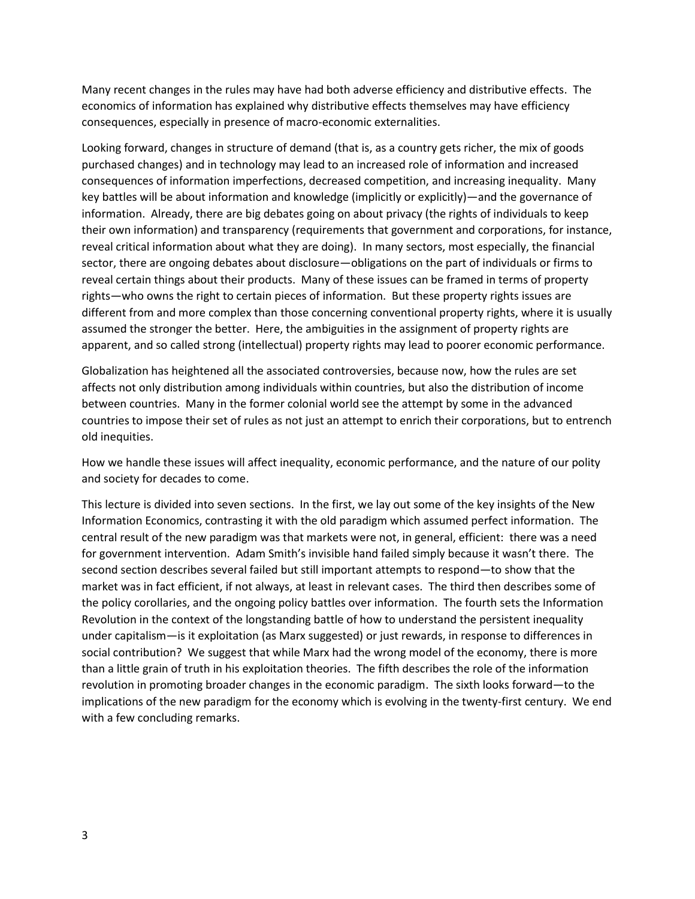Many recent changes in the rules may have had both adverse efficiency and distributive effects. The economics of information has explained why distributive effects themselves may have efficiency consequences, especially in presence of macro-economic externalities.

Looking forward, changes in structure of demand (that is, as a country gets richer, the mix of goods purchased changes) and in technology may lead to an increased role of information and increased consequences of information imperfections, decreased competition, and increasing inequality. Many key battles will be about information and knowledge (implicitly or explicitly)—and the governance of information. Already, there are big debates going on about privacy (the rights of individuals to keep their own information) and transparency (requirements that government and corporations, for instance, reveal critical information about what they are doing). In many sectors, most especially, the financial sector, there are ongoing debates about disclosure—obligations on the part of individuals or firms to reveal certain things about their products. Many of these issues can be framed in terms of property rights—who owns the right to certain pieces of information. But these property rights issues are different from and more complex than those concerning conventional property rights, where it is usually assumed the stronger the better. Here, the ambiguities in the assignment of property rights are apparent, and so called strong (intellectual) property rights may lead to poorer economic performance.

Globalization has heightened all the associated controversies, because now, how the rules are set affects not only distribution among individuals within countries, but also the distribution of income between countries. Many in the former colonial world see the attempt by some in the advanced countries to impose their set of rules as not just an attempt to enrich their corporations, but to entrench old inequities.

How we handle these issues will affect inequality, economic performance, and the nature of our polity and society for decades to come.

This lecture is divided into seven sections. In the first, we lay out some of the key insights of the New Information Economics, contrasting it with the old paradigm which assumed perfect information. The central result of the new paradigm was that markets were not, in general, efficient: there was a need for government intervention. Adam Smith's invisible hand failed simply because it wasn't there. The second section describes several failed but still important attempts to respond—to show that the market was in fact efficient, if not always, at least in relevant cases. The third then describes some of the policy corollaries, and the ongoing policy battles over information. The fourth sets the Information Revolution in the context of the longstanding battle of how to understand the persistent inequality under capitalism—is it exploitation (as Marx suggested) or just rewards, in response to differences in social contribution? We suggest that while Marx had the wrong model of the economy, there is more than a little grain of truth in his exploitation theories. The fifth describes the role of the information revolution in promoting broader changes in the economic paradigm. The sixth looks forward—to the implications of the new paradigm for the economy which is evolving in the twenty-first century. We end with a few concluding remarks.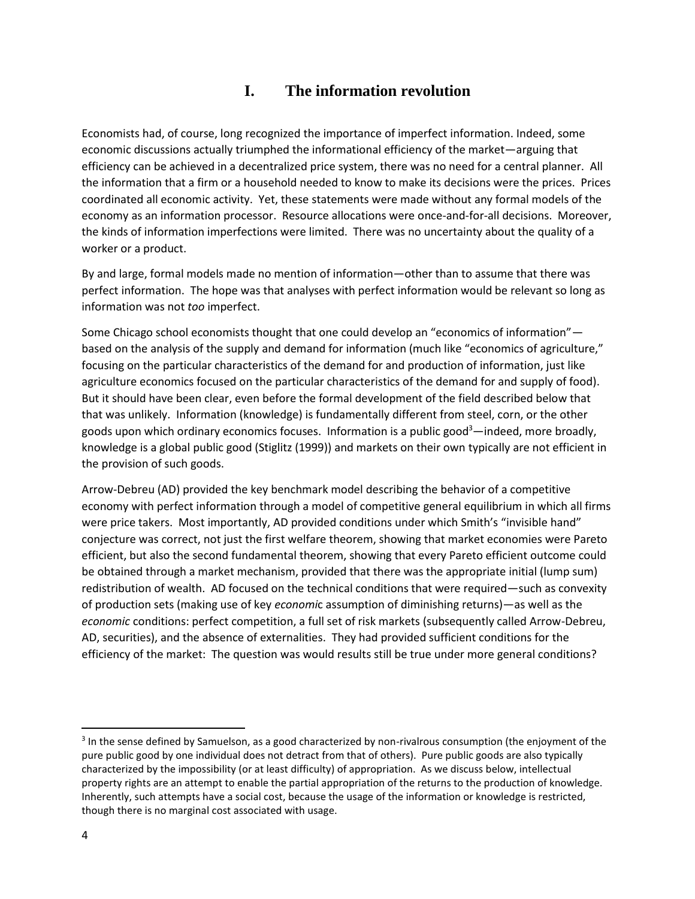# **I. The information revolution**

Economists had, of course, long recognized the importance of imperfect information. Indeed, some economic discussions actually triumphed the informational efficiency of the market—arguing that efficiency can be achieved in a decentralized price system, there was no need for a central planner. All the information that a firm or a household needed to know to make its decisions were the prices. Prices coordinated all economic activity. Yet, these statements were made without any formal models of the economy as an information processor. Resource allocations were once-and-for-all decisions. Moreover, the kinds of information imperfections were limited. There was no uncertainty about the quality of a worker or a product.

By and large, formal models made no mention of information—other than to assume that there was perfect information. The hope was that analyses with perfect information would be relevant so long as information was not *too* imperfect.

Some Chicago school economists thought that one could develop an "economics of information" based on the analysis of the supply and demand for information (much like "economics of agriculture," focusing on the particular characteristics of the demand for and production of information, just like agriculture economics focused on the particular characteristics of the demand for and supply of food). But it should have been clear, even before the formal development of the field described below that that was unlikely. Information (knowledge) is fundamentally different from steel, corn, or the other goods upon which ordinary economics focuses. Information is a public good $3$ —indeed, more broadly, knowledge is a global public good (Stiglitz (1999)) and markets on their own typically are not efficient in the provision of such goods.

Arrow-Debreu (AD) provided the key benchmark model describing the behavior of a competitive economy with perfect information through a model of competitive general equilibrium in which all firms were price takers. Most importantly, AD provided conditions under which Smith's "invisible hand" conjecture was correct, not just the first welfare theorem, showing that market economies were Pareto efficient, but also the second fundamental theorem, showing that every Pareto efficient outcome could be obtained through a market mechanism, provided that there was the appropriate initial (lump sum) redistribution of wealth. AD focused on the technical conditions that were required—such as convexity of production sets (making use of key *economi*c assumption of diminishing returns)—as well as the *economic* conditions: perfect competition, a full set of risk markets (subsequently called Arrow-Debreu, AD, securities), and the absence of externalities. They had provided sufficient conditions for the efficiency of the market: The question was would results still be true under more general conditions?

l

<sup>&</sup>lt;sup>3</sup> In the sense defined by Samuelson, as a good characterized by non-rivalrous consumption (the enjoyment of the pure public good by one individual does not detract from that of others). Pure public goods are also typically characterized by the impossibility (or at least difficulty) of appropriation. As we discuss below, intellectual property rights are an attempt to enable the partial appropriation of the returns to the production of knowledge. Inherently, such attempts have a social cost, because the usage of the information or knowledge is restricted, though there is no marginal cost associated with usage.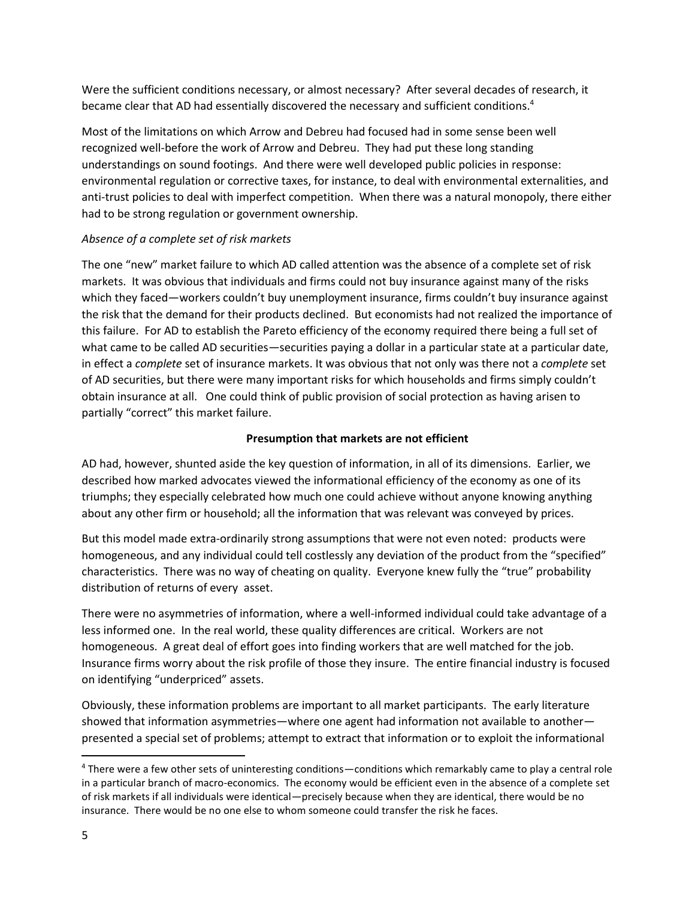Were the sufficient conditions necessary, or almost necessary? After several decades of research, it became clear that AD had essentially discovered the necessary and sufficient conditions.<sup>4</sup>

Most of the limitations on which Arrow and Debreu had focused had in some sense been well recognized well-before the work of Arrow and Debreu. They had put these long standing understandings on sound footings. And there were well developed public policies in response: environmental regulation or corrective taxes, for instance, to deal with environmental externalities, and anti-trust policies to deal with imperfect competition. When there was a natural monopoly, there either had to be strong regulation or government ownership.

#### *Absence of a complete set of risk markets*

The one "new" market failure to which AD called attention was the absence of a complete set of risk markets. It was obvious that individuals and firms could not buy insurance against many of the risks which they faced—workers couldn't buy unemployment insurance, firms couldn't buy insurance against the risk that the demand for their products declined. But economists had not realized the importance of this failure. For AD to establish the Pareto efficiency of the economy required there being a full set of what came to be called AD securities—securities paying a dollar in a particular state at a particular date, in effect a *complete* set of insurance markets. It was obvious that not only was there not a *complete* set of AD securities, but there were many important risks for which households and firms simply couldn't obtain insurance at all. One could think of public provision of social protection as having arisen to partially "correct" this market failure.

#### **Presumption that markets are not efficient**

AD had, however, shunted aside the key question of information, in all of its dimensions. Earlier, we described how marked advocates viewed the informational efficiency of the economy as one of its triumphs; they especially celebrated how much one could achieve without anyone knowing anything about any other firm or household; all the information that was relevant was conveyed by prices.

But this model made extra-ordinarily strong assumptions that were not even noted: products were homogeneous, and any individual could tell costlessly any deviation of the product from the "specified" characteristics. There was no way of cheating on quality. Everyone knew fully the "true" probability distribution of returns of every asset.

There were no asymmetries of information, where a well-informed individual could take advantage of a less informed one. In the real world, these quality differences are critical. Workers are not homogeneous. A great deal of effort goes into finding workers that are well matched for the job. Insurance firms worry about the risk profile of those they insure. The entire financial industry is focused on identifying "underpriced" assets.

Obviously, these information problems are important to all market participants. The early literature showed that information asymmetries—where one agent had information not available to another presented a special set of problems; attempt to extract that information or to exploit the informational

l

<sup>4</sup> There were a few other sets of uninteresting conditions—conditions which remarkably came to play a central role in a particular branch of macro-economics. The economy would be efficient even in the absence of a complete set of risk markets if all individuals were identical—precisely because when they are identical, there would be no insurance. There would be no one else to whom someone could transfer the risk he faces.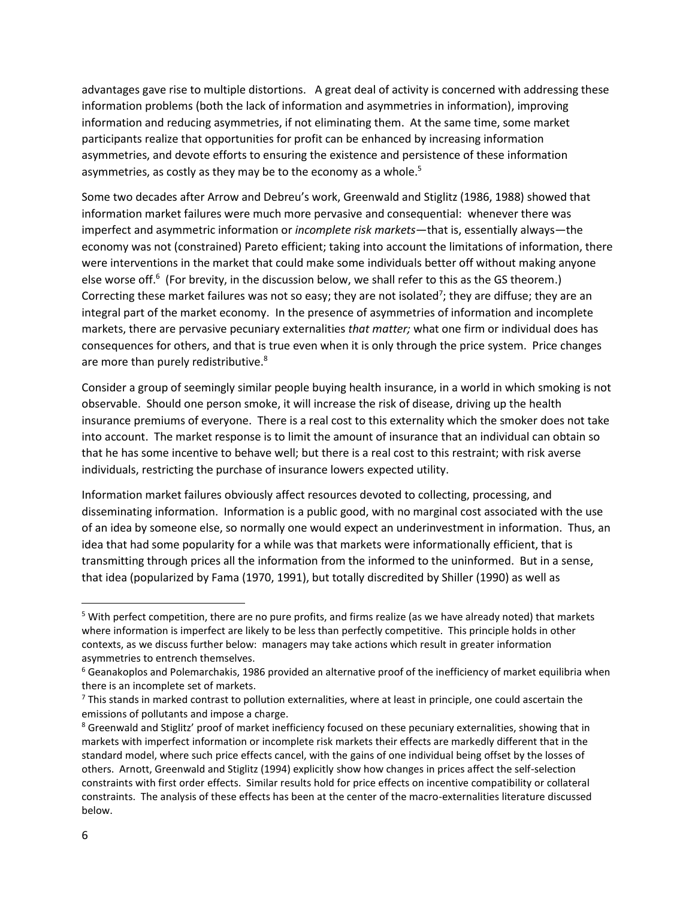advantages gave rise to multiple distortions. A great deal of activity is concerned with addressing these information problems (both the lack of information and asymmetries in information), improving information and reducing asymmetries, if not eliminating them. At the same time, some market participants realize that opportunities for profit can be enhanced by increasing information asymmetries, and devote efforts to ensuring the existence and persistence of these information asymmetries, as costly as they may be to the economy as a whole.<sup>5</sup>

Some two decades after Arrow and Debreu's work, Greenwald and Stiglitz (1986, 1988) showed that information market failures were much more pervasive and consequential: whenever there was imperfect and asymmetric information or *incomplete risk markets*—that is, essentially always—the economy was not (constrained) Pareto efficient; taking into account the limitations of information, there were interventions in the market that could make some individuals better off without making anyone else worse off.<sup>6</sup> (For brevity, in the discussion below, we shall refer to this as the GS theorem.) Correcting these market failures was not so easy; they are not isolated<sup>7</sup>; they are diffuse; they are an integral part of the market economy. In the presence of asymmetries of information and incomplete markets, there are pervasive pecuniary externalities *that matter;* what one firm or individual does has consequences for others, and that is true even when it is only through the price system. Price changes are more than purely redistributive.<sup>8</sup>

Consider a group of seemingly similar people buying health insurance, in a world in which smoking is not observable. Should one person smoke, it will increase the risk of disease, driving up the health insurance premiums of everyone. There is a real cost to this externality which the smoker does not take into account. The market response is to limit the amount of insurance that an individual can obtain so that he has some incentive to behave well; but there is a real cost to this restraint; with risk averse individuals, restricting the purchase of insurance lowers expected utility.

Information market failures obviously affect resources devoted to collecting, processing, and disseminating information. Information is a public good, with no marginal cost associated with the use of an idea by someone else, so normally one would expect an underinvestment in information. Thus, an idea that had some popularity for a while was that markets were informationally efficient, that is transmitting through prices all the information from the informed to the uninformed. But in a sense, that idea (popularized by Fama (1970, 1991), but totally discredited by Shiller (1990) as well as

 $\overline{a}$ 

<sup>5</sup> With perfect competition, there are no pure profits, and firms realize (as we have already noted) that markets where information is imperfect are likely to be less than perfectly competitive. This principle holds in other contexts, as we discuss further below: managers may take actions which result in greater information asymmetries to entrench themselves.

<sup>&</sup>lt;sup>6</sup> Geanakoplos and Polemarchakis, 1986 provided an alternative proof of the inefficiency of market equilibria when there is an incomplete set of markets.

 $<sup>7</sup>$  This stands in marked contrast to pollution externalities, where at least in principle, one could ascertain the</sup> emissions of pollutants and impose a charge.

<sup>&</sup>lt;sup>8</sup> Greenwald and Stiglitz' proof of market inefficiency focused on these pecuniary externalities, showing that in markets with imperfect information or incomplete risk markets their effects are markedly different that in the standard model, where such price effects cancel, with the gains of one individual being offset by the losses of others. Arnott, Greenwald and Stiglitz (1994) explicitly show how changes in prices affect the self-selection constraints with first order effects. Similar results hold for price effects on incentive compatibility or collateral constraints. The analysis of these effects has been at the center of the macro-externalities literature discussed below.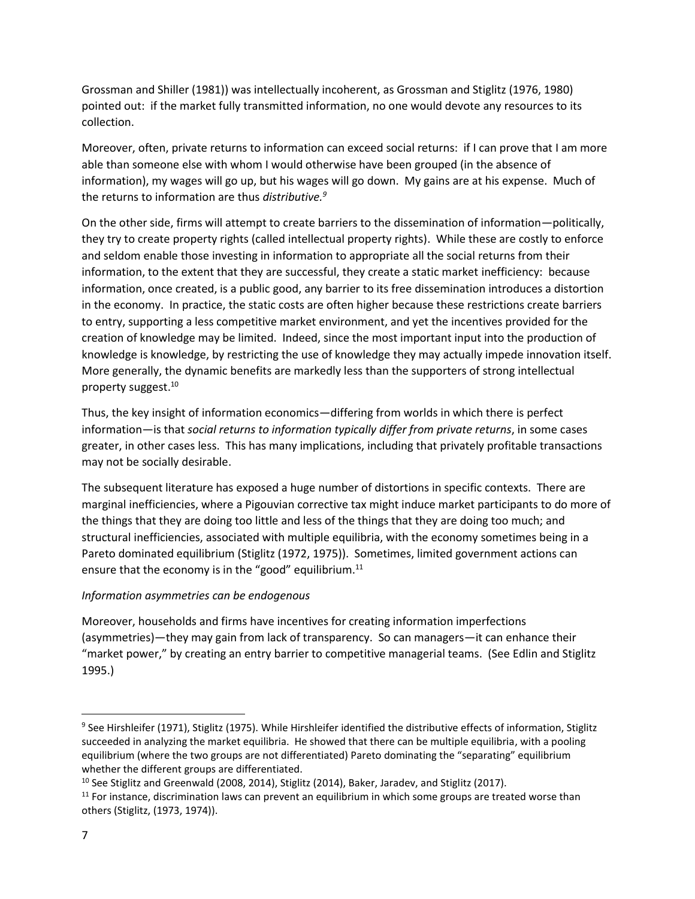Grossman and Shiller (1981)) was intellectually incoherent, as Grossman and Stiglitz (1976, 1980) pointed out: if the market fully transmitted information, no one would devote any resources to its collection.

Moreover, often, private returns to information can exceed social returns: if I can prove that I am more able than someone else with whom I would otherwise have been grouped (in the absence of information), my wages will go up, but his wages will go down. My gains are at his expense. Much of the returns to information are thus *distributive.<sup>9</sup>* 

On the other side, firms will attempt to create barriers to the dissemination of information—politically, they try to create property rights (called intellectual property rights). While these are costly to enforce and seldom enable those investing in information to appropriate all the social returns from their information, to the extent that they are successful, they create a static market inefficiency: because information, once created, is a public good, any barrier to its free dissemination introduces a distortion in the economy. In practice, the static costs are often higher because these restrictions create barriers to entry, supporting a less competitive market environment, and yet the incentives provided for the creation of knowledge may be limited. Indeed, since the most important input into the production of knowledge is knowledge, by restricting the use of knowledge they may actually impede innovation itself. More generally, the dynamic benefits are markedly less than the supporters of strong intellectual property suggest.<sup>10</sup>

Thus, the key insight of information economics—differing from worlds in which there is perfect information—is that *social returns to information typically differ from private returns*, in some cases greater, in other cases less. This has many implications, including that privately profitable transactions may not be socially desirable.

The subsequent literature has exposed a huge number of distortions in specific contexts. There are marginal inefficiencies, where a Pigouvian corrective tax might induce market participants to do more of the things that they are doing too little and less of the things that they are doing too much; and structural inefficiencies, associated with multiple equilibria, with the economy sometimes being in a Pareto dominated equilibrium (Stiglitz (1972, 1975)). Sometimes, limited government actions can ensure that the economy is in the "good" equilibrium.<sup>11</sup>

# *Information asymmetries can be endogenous*

Moreover, households and firms have incentives for creating information imperfections (asymmetries)—they may gain from lack of transparency. So can managers—it can enhance their "market power," by creating an entry barrier to competitive managerial teams. (See Edlin and Stiglitz 1995.)

<sup>&</sup>lt;sup>9</sup> See Hirshleifer (1971), Stiglitz (1975). While Hirshleifer identified the distributive effects of information, Stiglitz succeeded in analyzing the market equilibria. He showed that there can be multiple equilibria, with a pooling equilibrium (where the two groups are not differentiated) Pareto dominating the "separating" equilibrium whether the different groups are differentiated.

<sup>&</sup>lt;sup>10</sup> See Stiglitz and Greenwald (2008, 2014), Stiglitz (2014), Baker, Jaradev, and Stiglitz (2017).

 $11$  For instance, discrimination laws can prevent an equilibrium in which some groups are treated worse than others (Stiglitz, (1973, 1974)).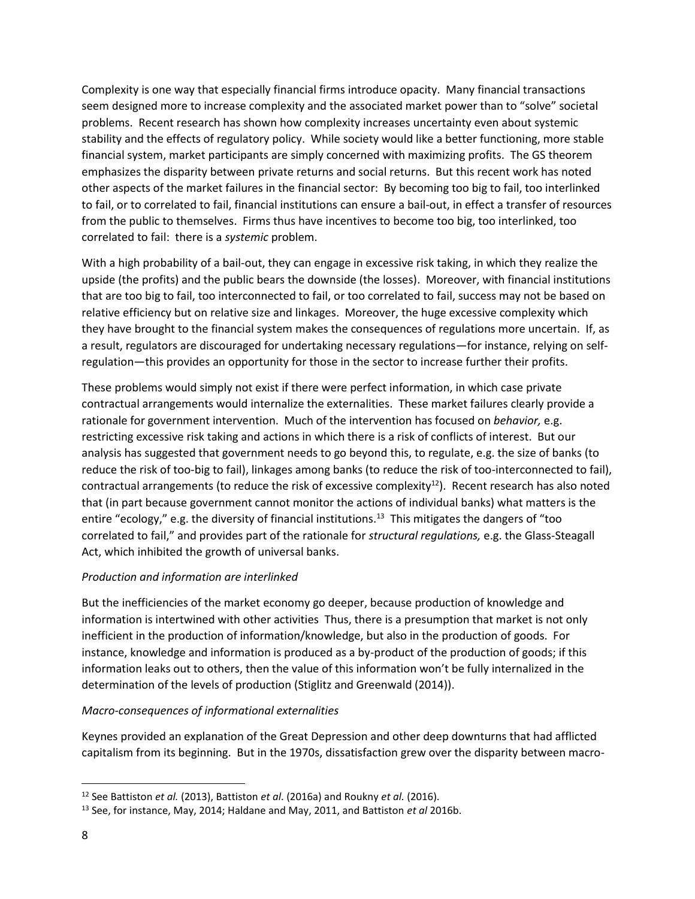Complexity is one way that especially financial firms introduce opacity. Many financial transactions seem designed more to increase complexity and the associated market power than to "solve" societal problems. Recent research has shown how complexity increases uncertainty even about systemic stability and the effects of regulatory policy. While society would like a better functioning, more stable financial system, market participants are simply concerned with maximizing profits. The GS theorem emphasizes the disparity between private returns and social returns. But this recent work has noted other aspects of the market failures in the financial sector: By becoming too big to fail, too interlinked to fail, or to correlated to fail, financial institutions can ensure a bail-out, in effect a transfer of resources from the public to themselves. Firms thus have incentives to become too big, too interlinked, too correlated to fail: there is a *systemic* problem.

With a high probability of a bail-out, they can engage in excessive risk taking, in which they realize the upside (the profits) and the public bears the downside (the losses). Moreover, with financial institutions that are too big to fail, too interconnected to fail, or too correlated to fail, success may not be based on relative efficiency but on relative size and linkages. Moreover, the huge excessive complexity which they have brought to the financial system makes the consequences of regulations more uncertain. If, as a result, regulators are discouraged for undertaking necessary regulations—for instance, relying on selfregulation—this provides an opportunity for those in the sector to increase further their profits.

These problems would simply not exist if there were perfect information, in which case private contractual arrangements would internalize the externalities. These market failures clearly provide a rationale for government intervention. Much of the intervention has focused on *behavior,* e.g. restricting excessive risk taking and actions in which there is a risk of conflicts of interest. But our analysis has suggested that government needs to go beyond this, to regulate, e.g. the size of banks (to reduce the risk of too-big to fail), linkages among banks (to reduce the risk of too-interconnected to fail), contractual arrangements (to reduce the risk of excessive complexity $^{12}$ ). Recent research has also noted that (in part because government cannot monitor the actions of individual banks) what matters is the entire "ecology," e.g. the diversity of financial institutions.<sup>13</sup> This mitigates the dangers of "too correlated to fail," and provides part of the rationale for *structural regulations,* e.g. the Glass-Steagall Act, which inhibited the growth of universal banks.

# *Production and information are interlinked*

But the inefficiencies of the market economy go deeper, because production of knowledge and information is intertwined with other activities Thus, there is a presumption that market is not only inefficient in the production of information/knowledge, but also in the production of goods. For instance, knowledge and information is produced as a by-product of the production of goods; if this information leaks out to others, then the value of this information won't be fully internalized in the determination of the levels of production (Stiglitz and Greenwald (2014)).

# *Macro-consequences of informational externalities*

Keynes provided an explanation of the Great Depression and other deep downturns that had afflicted capitalism from its beginning. But in the 1970s, dissatisfaction grew over the disparity between macro-

<sup>12</sup> See Battiston *et al.* (2013), Battiston *et al*. (2016a) and Roukny *et al.* (2016).

<sup>13</sup> See, for instance, May, 2014; Haldane and May, 2011, and Battiston *et al* 2016b.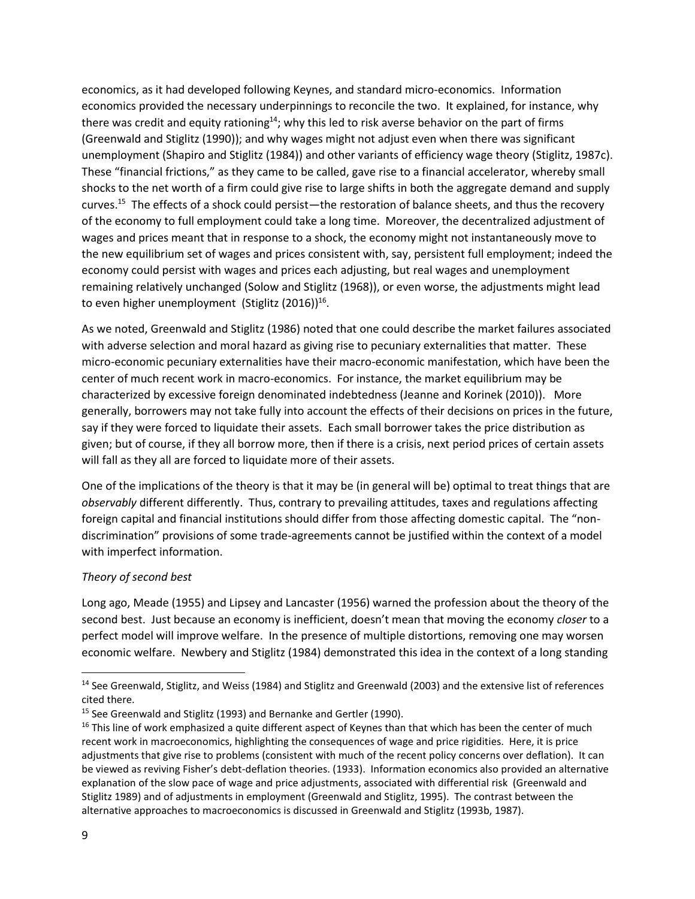economics, as it had developed following Keynes, and standard micro-economics. Information economics provided the necessary underpinnings to reconcile the two. It explained, for instance, why there was credit and equity rationing<sup>14</sup>; why this led to risk averse behavior on the part of firms (Greenwald and Stiglitz (1990)); and why wages might not adjust even when there was significant unemployment (Shapiro and Stiglitz (1984)) and other variants of efficiency wage theory (Stiglitz, 1987c). These "financial frictions," as they came to be called, gave rise to a financial accelerator, whereby small shocks to the net worth of a firm could give rise to large shifts in both the aggregate demand and supply curves.<sup>15</sup> The effects of a shock could persist—the restoration of balance sheets, and thus the recovery of the economy to full employment could take a long time. Moreover, the decentralized adjustment of wages and prices meant that in response to a shock, the economy might not instantaneously move to the new equilibrium set of wages and prices consistent with, say, persistent full employment; indeed the economy could persist with wages and prices each adjusting, but real wages and unemployment remaining relatively unchanged (Solow and Stiglitz (1968)), or even worse, the adjustments might lead to even higher unemployment (Stiglitz (2016))<sup>16</sup>.

As we noted, Greenwald and Stiglitz (1986) noted that one could describe the market failures associated with adverse selection and moral hazard as giving rise to pecuniary externalities that matter. These micro-economic pecuniary externalities have their macro-economic manifestation, which have been the center of much recent work in macro-economics. For instance, the market equilibrium may be characterized by excessive foreign denominated indebtedness (Jeanne and Korinek (2010)). More generally, borrowers may not take fully into account the effects of their decisions on prices in the future, say if they were forced to liquidate their assets. Each small borrower takes the price distribution as given; but of course, if they all borrow more, then if there is a crisis, next period prices of certain assets will fall as they all are forced to liquidate more of their assets.

One of the implications of the theory is that it may be (in general will be) optimal to treat things that are *observably* different differently. Thus, contrary to prevailing attitudes, taxes and regulations affecting foreign capital and financial institutions should differ from those affecting domestic capital. The "nondiscrimination" provisions of some trade-agreements cannot be justified within the context of a model with imperfect information.

# *Theory of second best*

Long ago, Meade (1955) and Lipsey and Lancaster (1956) warned the profession about the theory of the second best. Just because an economy is inefficient, doesn't mean that moving the economy *closer* to a perfect model will improve welfare. In the presence of multiple distortions, removing one may worsen economic welfare. Newbery and Stiglitz (1984) demonstrated this idea in the context of a long standing

 $\overline{a}$ 

<sup>&</sup>lt;sup>14</sup> See Greenwald, Stiglitz, and Weiss (1984) and Stiglitz and Greenwald (2003) and the extensive list of references cited there.

<sup>&</sup>lt;sup>15</sup> See Greenwald and Stiglitz (1993) and Bernanke and Gertler (1990).

<sup>&</sup>lt;sup>16</sup> This line of work emphasized a quite different aspect of Keynes than that which has been the center of much recent work in macroeconomics, highlighting the consequences of wage and price rigidities. Here, it is price adjustments that give rise to problems (consistent with much of the recent policy concerns over deflation). It can be viewed as reviving Fisher's debt-deflation theories. (1933). Information economics also provided an alternative explanation of the slow pace of wage and price adjustments, associated with differential risk (Greenwald and Stiglitz 1989) and of adjustments in employment (Greenwald and Stiglitz, 1995). The contrast between the alternative approaches to macroeconomics is discussed in Greenwald and Stiglitz (1993b, 1987).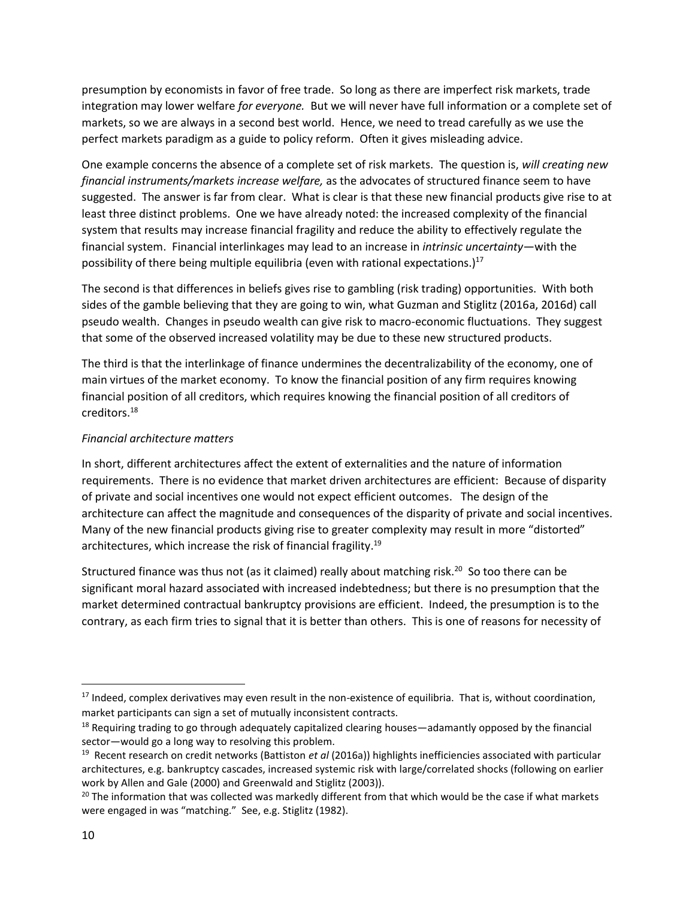presumption by economists in favor of free trade. So long as there are imperfect risk markets, trade integration may lower welfare *for everyone.* But we will never have full information or a complete set of markets, so we are always in a second best world. Hence, we need to tread carefully as we use the perfect markets paradigm as a guide to policy reform. Often it gives misleading advice.

One example concerns the absence of a complete set of risk markets. The question is, *will creating new financial instruments/markets increase welfare,* as the advocates of structured finance seem to have suggested. The answer is far from clear. What is clear is that these new financial products give rise to at least three distinct problems. One we have already noted: the increased complexity of the financial system that results may increase financial fragility and reduce the ability to effectively regulate the financial system. Financial interlinkages may lead to an increase in *intrinsic uncertainty*—with the possibility of there being multiple equilibria (even with rational expectations.)<sup>17</sup>

The second is that differences in beliefs gives rise to gambling (risk trading) opportunities. With both sides of the gamble believing that they are going to win, what Guzman and Stiglitz (2016a, 2016d) call pseudo wealth. Changes in pseudo wealth can give risk to macro-economic fluctuations. They suggest that some of the observed increased volatility may be due to these new structured products.

The third is that the interlinkage of finance undermines the decentralizability of the economy, one of main virtues of the market economy. To know the financial position of any firm requires knowing financial position of all creditors, which requires knowing the financial position of all creditors of creditors.<sup>18</sup>

# *Financial architecture matters*

In short, different architectures affect the extent of externalities and the nature of information requirements. There is no evidence that market driven architectures are efficient: Because of disparity of private and social incentives one would not expect efficient outcomes. The design of the architecture can affect the magnitude and consequences of the disparity of private and social incentives. Many of the new financial products giving rise to greater complexity may result in more "distorted" architectures, which increase the risk of financial fragility. 19

Structured finance was thus not (as it claimed) really about matching risk.<sup>20</sup> So too there can be significant moral hazard associated with increased indebtedness; but there is no presumption that the market determined contractual bankruptcy provisions are efficient. Indeed, the presumption is to the contrary, as each firm tries to signal that it is better than others. This is one of reasons for necessity of

l

 $17$  Indeed, complex derivatives may even result in the non-existence of equilibria. That is, without coordination, market participants can sign a set of mutually inconsistent contracts.

 $18$  Requiring trading to go through adequately capitalized clearing houses—adamantly opposed by the financial sector—would go a long way to resolving this problem.

<sup>19</sup> Recent research on credit networks (Battiston *et al* (2016a)) highlights inefficiencies associated with particular architectures, e.g. bankruptcy cascades, increased systemic risk with large/correlated shocks (following on earlier work by Allen and Gale (2000) and Greenwald and Stiglitz (2003)).

<sup>&</sup>lt;sup>20</sup> The information that was collected was markedly different from that which would be the case if what markets were engaged in was "matching." See, e.g. Stiglitz (1982).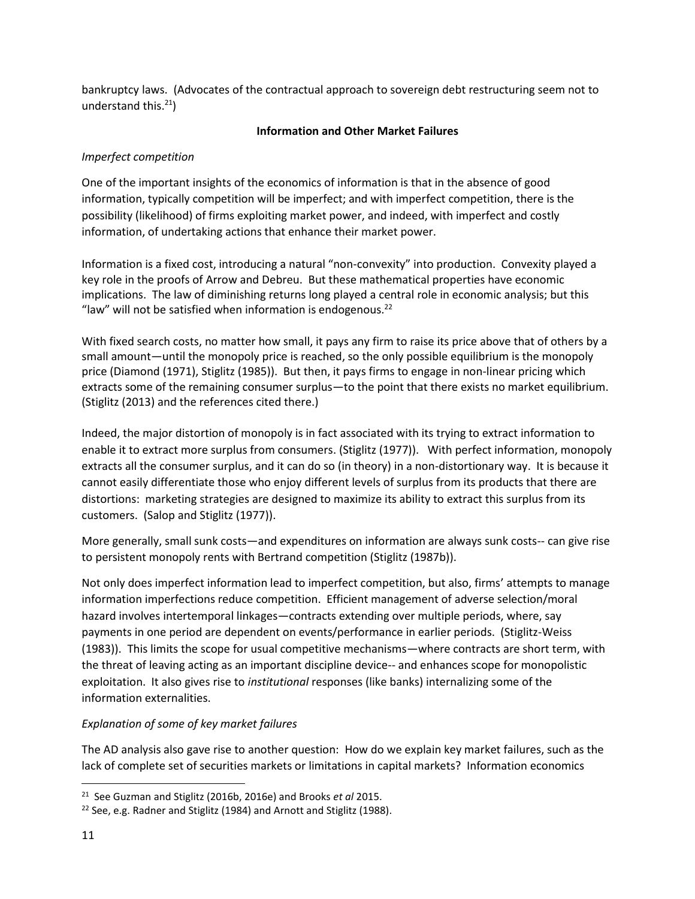bankruptcy laws. (Advocates of the contractual approach to sovereign debt restructuring seem not to understand this. $21$ )

## **Information and Other Market Failures**

## *Imperfect competition*

One of the important insights of the economics of information is that in the absence of good information, typically competition will be imperfect; and with imperfect competition, there is the possibility (likelihood) of firms exploiting market power, and indeed, with imperfect and costly information, of undertaking actions that enhance their market power.

Information is a fixed cost, introducing a natural "non-convexity" into production. Convexity played a key role in the proofs of Arrow and Debreu. But these mathematical properties have economic implications. The law of diminishing returns long played a central role in economic analysis; but this "law" will not be satisfied when information is endogenous. $^{22}$ 

With fixed search costs, no matter how small, it pays any firm to raise its price above that of others by a small amount—until the monopoly price is reached, so the only possible equilibrium is the monopoly price (Diamond (1971), Stiglitz (1985)). But then, it pays firms to engage in non-linear pricing which extracts some of the remaining consumer surplus—to the point that there exists no market equilibrium. (Stiglitz (2013) and the references cited there.)

Indeed, the major distortion of monopoly is in fact associated with its trying to extract information to enable it to extract more surplus from consumers. (Stiglitz (1977)). With perfect information, monopoly extracts all the consumer surplus, and it can do so (in theory) in a non-distortionary way. It is because it cannot easily differentiate those who enjoy different levels of surplus from its products that there are distortions: marketing strategies are designed to maximize its ability to extract this surplus from its customers. (Salop and Stiglitz (1977)).

More generally, small sunk costs—and expenditures on information are always sunk costs-- can give rise to persistent monopoly rents with Bertrand competition (Stiglitz (1987b)).

Not only does imperfect information lead to imperfect competition, but also, firms' attempts to manage information imperfections reduce competition. Efficient management of adverse selection/moral hazard involves intertemporal linkages—contracts extending over multiple periods, where, say payments in one period are dependent on events/performance in earlier periods. (Stiglitz-Weiss (1983)). This limits the scope for usual competitive mechanisms—where contracts are short term, with the threat of leaving acting as an important discipline device-- and enhances scope for monopolistic exploitation. It also gives rise to *institutional* responses (like banks) internalizing some of the information externalities.

# *Explanation of some of key market failures*

The AD analysis also gave rise to another question: How do we explain key market failures, such as the lack of complete set of securities markets or limitations in capital markets? Information economics

<sup>21</sup> See Guzman and Stiglitz (2016b, 2016e) and Brooks *et al* 2015.

<sup>&</sup>lt;sup>22</sup> See, e.g. Radner and Stiglitz (1984) and Arnott and Stiglitz (1988).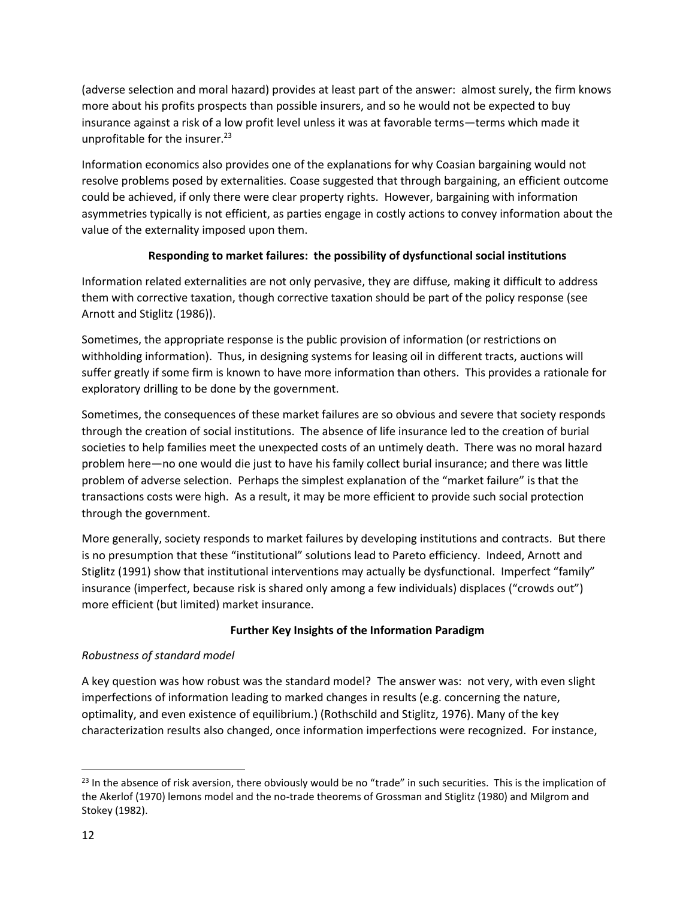(adverse selection and moral hazard) provides at least part of the answer: almost surely, the firm knows more about his profits prospects than possible insurers, and so he would not be expected to buy insurance against a risk of a low profit level unless it was at favorable terms—terms which made it unprofitable for the insurer.<sup>23</sup>

Information economics also provides one of the explanations for why Coasian bargaining would not resolve problems posed by externalities. Coase suggested that through bargaining, an efficient outcome could be achieved, if only there were clear property rights. However, bargaining with information asymmetries typically is not efficient, as parties engage in costly actions to convey information about the value of the externality imposed upon them.

# **Responding to market failures: the possibility of dysfunctional social institutions**

Information related externalities are not only pervasive, they are diffuse*,* making it difficult to address them with corrective taxation, though corrective taxation should be part of the policy response (see Arnott and Stiglitz (1986)).

Sometimes, the appropriate response is the public provision of information (or restrictions on withholding information). Thus, in designing systems for leasing oil in different tracts, auctions will suffer greatly if some firm is known to have more information than others. This provides a rationale for exploratory drilling to be done by the government.

Sometimes, the consequences of these market failures are so obvious and severe that society responds through the creation of social institutions. The absence of life insurance led to the creation of burial societies to help families meet the unexpected costs of an untimely death. There was no moral hazard problem here—no one would die just to have his family collect burial insurance; and there was little problem of adverse selection. Perhaps the simplest explanation of the "market failure" is that the transactions costs were high. As a result, it may be more efficient to provide such social protection through the government.

More generally, society responds to market failures by developing institutions and contracts. But there is no presumption that these "institutional" solutions lead to Pareto efficiency. Indeed, Arnott and Stiglitz (1991) show that institutional interventions may actually be dysfunctional. Imperfect "family" insurance (imperfect, because risk is shared only among a few individuals) displaces ("crowds out") more efficient (but limited) market insurance.

# **Further Key Insights of the Information Paradigm**

# *Robustness of standard model*

A key question was how robust was the standard model? The answer was: not very, with even slight imperfections of information leading to marked changes in results (e.g. concerning the nature, optimality, and even existence of equilibrium.) (Rothschild and Stiglitz, 1976). Many of the key characterization results also changed, once information imperfections were recognized. For instance,

 $\overline{a}$ 

 $23$  In the absence of risk aversion, there obviously would be no "trade" in such securities. This is the implication of the Akerlof (1970) lemons model and the no-trade theorems of Grossman and Stiglitz (1980) and Milgrom and Stokey (1982).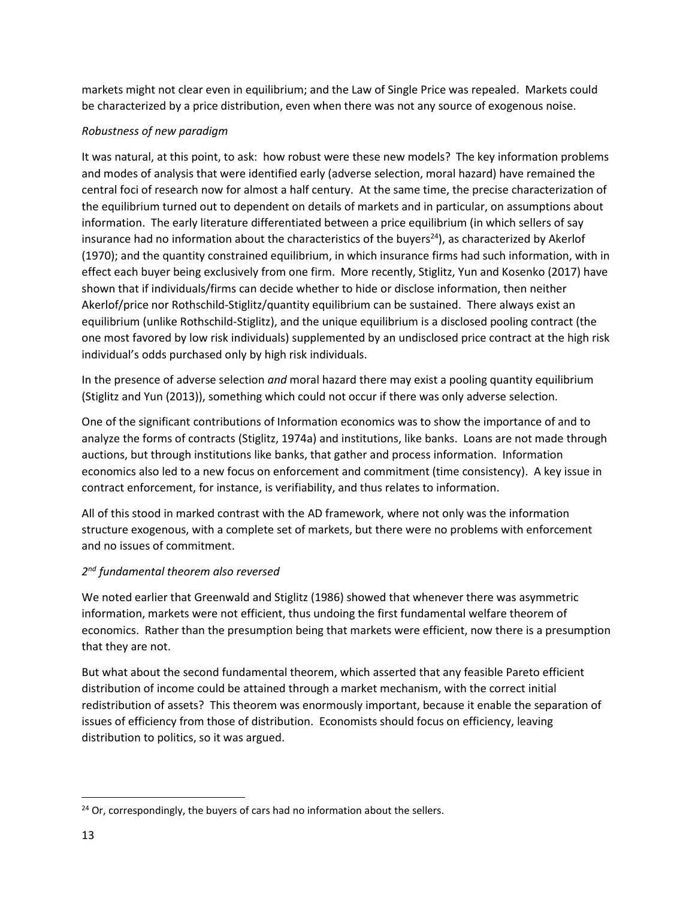markets might not clear even in equilibrium; and the Law of Single Price was repealed. Markets could be characterized by a price distribution, even when there was not any source of exogenous noise.

# *Robustness of new paradigm*

It was natural, at this point, to ask: how robust were these new models? The key information problems and modes of analysis that were identified early (adverse selection, moral hazard) have remained the central foci of research now for almost a half century. At the same time, the precise characterization of the equilibrium turned out to dependent on details of markets and in particular, on assumptions about information. The early literature differentiated between a price equilibrium (in which sellers of say insurance had no information about the characteristics of the buyers<sup>24</sup>), as characterized by Akerlof (1970); and the quantity constrained equilibrium, in which insurance firms had such information, with in effect each buyer being exclusively from one firm. More recently, Stiglitz, Yun and Kosenko (2017) have shown that if individuals/firms can decide whether to hide or disclose information, then neither Akerlof/price nor Rothschild-Stiglitz/quantity equilibrium can be sustained. There always exist an equilibrium (unlike Rothschild-Stiglitz), and the unique equilibrium is a disclosed pooling contract (the one most favored by low risk individuals) supplemented by an undisclosed price contract at the high risk individual's odds purchased only by high risk individuals.

In the presence of adverse selection *and* moral hazard there may exist a pooling quantity equilibrium (Stiglitz and Yun (2013)), something which could not occur if there was only adverse selection.

One of the significant contributions of Information economics was to show the importance of and to analyze the forms of contracts (Stiglitz, 1974a) and institutions, like banks. Loans are not made through auctions, but through institutions like banks, that gather and process information. Information economics also led to a new focus on enforcement and commitment (time consistency). A key issue in contract enforcement, for instance, is verifiability, and thus relates to information.

All of this stood in marked contrast with the AD framework, where not only was the information structure exogenous, with a complete set of markets, but there were no problems with enforcement and no issues of commitment.

# *2 nd fundamental theorem also reversed*

We noted earlier that Greenwald and Stiglitz (1986) showed that whenever there was asymmetric information, markets were not efficient, thus undoing the first fundamental welfare theorem of economics. Rather than the presumption being that markets were efficient, now there is a presumption that they are not.

But what about the second fundamental theorem, which asserted that any feasible Pareto efficient distribution of income could be attained through a market mechanism, with the correct initial redistribution of assets? This theorem was enormously important, because it enable the separation of issues of efficiency from those of distribution. Economists should focus on efficiency, leaving distribution to politics, so it was argued.

<sup>&</sup>lt;sup>24</sup> Or, correspondingly, the buyers of cars had no information about the sellers.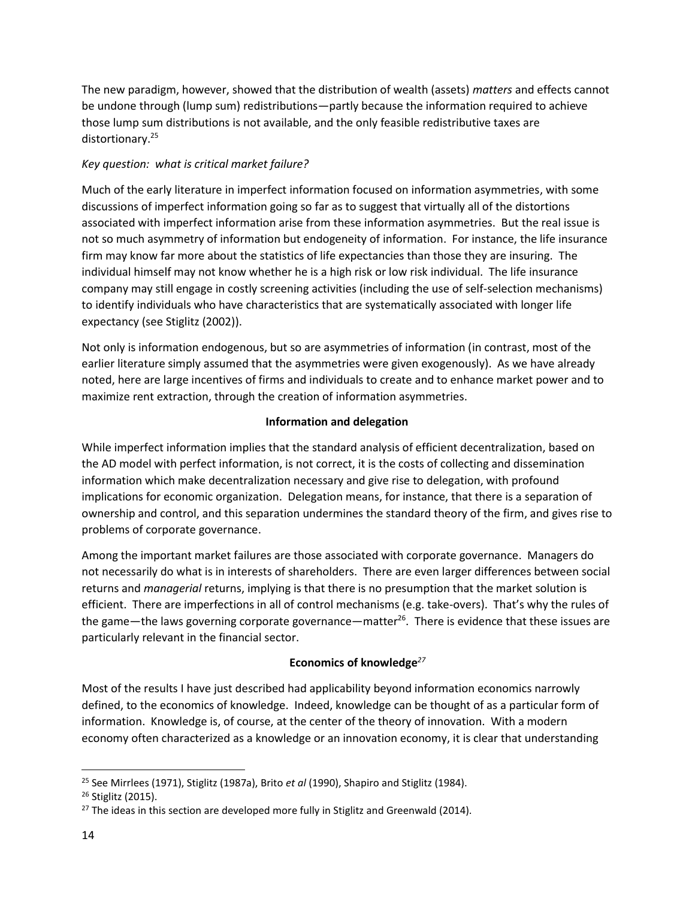The new paradigm, however, showed that the distribution of wealth (assets) *matters* and effects cannot be undone through (lump sum) redistributions—partly because the information required to achieve those lump sum distributions is not available, and the only feasible redistributive taxes are distortionary.<sup>25</sup>

# *Key question: what is critical market failure?*

Much of the early literature in imperfect information focused on information asymmetries, with some discussions of imperfect information going so far as to suggest that virtually all of the distortions associated with imperfect information arise from these information asymmetries. But the real issue is not so much asymmetry of information but endogeneity of information. For instance, the life insurance firm may know far more about the statistics of life expectancies than those they are insuring. The individual himself may not know whether he is a high risk or low risk individual. The life insurance company may still engage in costly screening activities (including the use of self-selection mechanisms) to identify individuals who have characteristics that are systematically associated with longer life expectancy (see Stiglitz (2002)).

Not only is information endogenous, but so are asymmetries of information (in contrast, most of the earlier literature simply assumed that the asymmetries were given exogenously). As we have already noted, here are large incentives of firms and individuals to create and to enhance market power and to maximize rent extraction, through the creation of information asymmetries.

# **Information and delegation**

While imperfect information implies that the standard analysis of efficient decentralization, based on the AD model with perfect information, is not correct, it is the costs of collecting and dissemination information which make decentralization necessary and give rise to delegation, with profound implications for economic organization. Delegation means, for instance, that there is a separation of ownership and control, and this separation undermines the standard theory of the firm, and gives rise to problems of corporate governance.

Among the important market failures are those associated with corporate governance. Managers do not necessarily do what is in interests of shareholders. There are even larger differences between social returns and *managerial* returns, implying is that there is no presumption that the market solution is efficient. There are imperfections in all of control mechanisms (e.g. take-overs). That's why the rules of the game—the laws governing corporate governance—matter<sup>26</sup>. There is evidence that these issues are particularly relevant in the financial sector.

# **Economics of knowledge***<sup>27</sup>*

Most of the results I have just described had applicability beyond information economics narrowly defined, to the economics of knowledge. Indeed, knowledge can be thought of as a particular form of information. Knowledge is, of course, at the center of the theory of innovation. With a modern economy often characterized as a knowledge or an innovation economy, it is clear that understanding

 $\overline{a}$ 

<sup>25</sup> See Mirrlees (1971), Stiglitz (1987a), Brito *et al* (1990), Shapiro and Stiglitz (1984).

<sup>26</sup> Stiglitz (2015).

 $27$  The ideas in this section are developed more fully in Stiglitz and Greenwald (2014).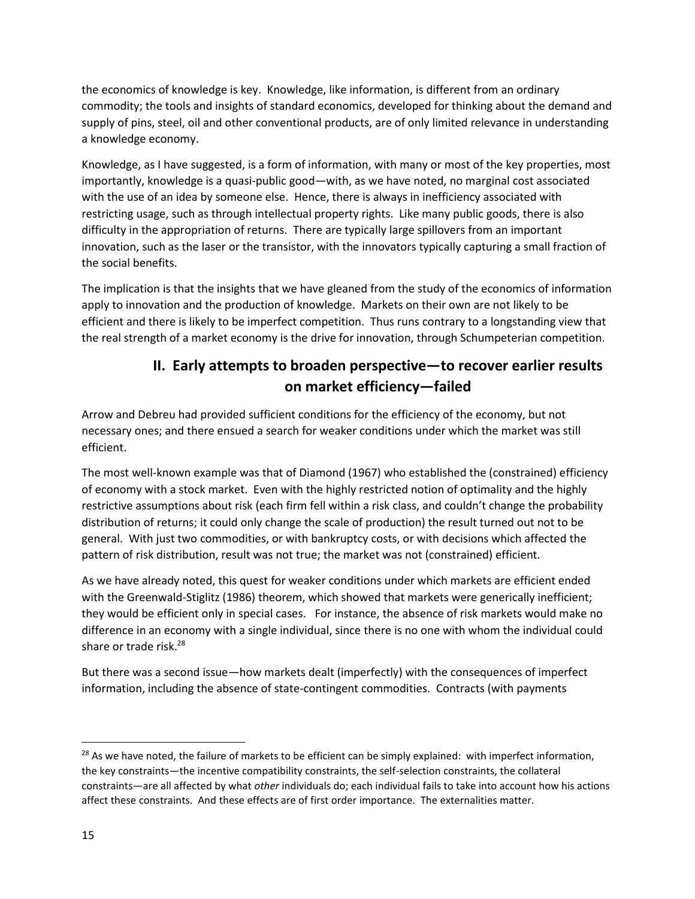the economics of knowledge is key. Knowledge, like information, is different from an ordinary commodity; the tools and insights of standard economics, developed for thinking about the demand and supply of pins, steel, oil and other conventional products, are of only limited relevance in understanding a knowledge economy.

Knowledge, as I have suggested, is a form of information, with many or most of the key properties, most importantly, knowledge is a quasi-public good—with, as we have noted, no marginal cost associated with the use of an idea by someone else. Hence, there is always in inefficiency associated with restricting usage, such as through intellectual property rights. Like many public goods, there is also difficulty in the appropriation of returns. There are typically large spillovers from an important innovation, such as the laser or the transistor, with the innovators typically capturing a small fraction of the social benefits.

The implication is that the insights that we have gleaned from the study of the economics of information apply to innovation and the production of knowledge. Markets on their own are not likely to be efficient and there is likely to be imperfect competition. Thus runs contrary to a longstanding view that the real strength of a market economy is the drive for innovation, through Schumpeterian competition.

# **II. Early attempts to broaden perspective—to recover earlier results on market efficiency—failed**

Arrow and Debreu had provided sufficient conditions for the efficiency of the economy, but not necessary ones; and there ensued a search for weaker conditions under which the market was still efficient.

The most well-known example was that of Diamond (1967) who established the (constrained) efficiency of economy with a stock market. Even with the highly restricted notion of optimality and the highly restrictive assumptions about risk (each firm fell within a risk class, and couldn't change the probability distribution of returns; it could only change the scale of production) the result turned out not to be general. With just two commodities, or with bankruptcy costs, or with decisions which affected the pattern of risk distribution, result was not true; the market was not (constrained) efficient.

As we have already noted, this quest for weaker conditions under which markets are efficient ended with the Greenwald-Stiglitz (1986) theorem, which showed that markets were generically inefficient; they would be efficient only in special cases. For instance, the absence of risk markets would make no difference in an economy with a single individual, since there is no one with whom the individual could share or trade risk.<sup>28</sup>

But there was a second issue—how markets dealt (imperfectly) with the consequences of imperfect information, including the absence of state-contingent commodities. Contracts (with payments

<sup>&</sup>lt;sup>28</sup> As we have noted, the failure of markets to be efficient can be simply explained: with imperfect information, the key constraints—the incentive compatibility constraints, the self-selection constraints, the collateral constraints—are all affected by what *other* individuals do; each individual fails to take into account how his actions affect these constraints. And these effects are of first order importance. The externalities matter.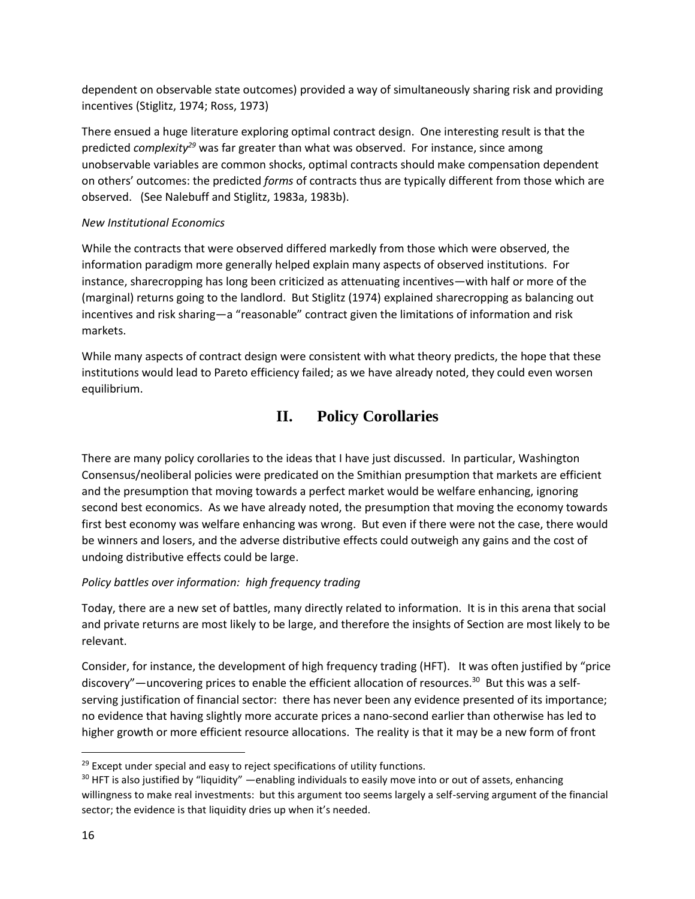dependent on observable state outcomes) provided a way of simultaneously sharing risk and providing incentives (Stiglitz, 1974; Ross, 1973)

There ensued a huge literature exploring optimal contract design. One interesting result is that the predicted *complexity<sup>29</sup>* was far greater than what was observed. For instance, since among unobservable variables are common shocks, optimal contracts should make compensation dependent on others' outcomes: the predicted *forms* of contracts thus are typically different from those which are observed. (See Nalebuff and Stiglitz, 1983a, 1983b).

# *New Institutional Economics*

While the contracts that were observed differed markedly from those which were observed, the information paradigm more generally helped explain many aspects of observed institutions. For instance, sharecropping has long been criticized as attenuating incentives—with half or more of the (marginal) returns going to the landlord. But Stiglitz (1974) explained sharecropping as balancing out incentives and risk sharing—a "reasonable" contract given the limitations of information and risk markets.

While many aspects of contract design were consistent with what theory predicts, the hope that these institutions would lead to Pareto efficiency failed; as we have already noted, they could even worsen equilibrium.

# **II. Policy Corollaries**

There are many policy corollaries to the ideas that I have just discussed. In particular, Washington Consensus/neoliberal policies were predicated on the Smithian presumption that markets are efficient and the presumption that moving towards a perfect market would be welfare enhancing, ignoring second best economics. As we have already noted, the presumption that moving the economy towards first best economy was welfare enhancing was wrong. But even if there were not the case, there would be winners and losers, and the adverse distributive effects could outweigh any gains and the cost of undoing distributive effects could be large.

# *Policy battles over information: high frequency trading*

Today, there are a new set of battles, many directly related to information. It is in this arena that social and private returns are most likely to be large, and therefore the insights of Section are most likely to be relevant.

Consider, for instance, the development of high frequency trading (HFT). It was often justified by "price discovery"—uncovering prices to enable the efficient allocation of resources.<sup>30</sup> But this was a selfserving justification of financial sector: there has never been any evidence presented of its importance; no evidence that having slightly more accurate prices a nano-second earlier than otherwise has led to higher growth or more efficient resource allocations. The reality is that it may be a new form of front

 $29$  Except under special and easy to reject specifications of utility functions.

<sup>&</sup>lt;sup>30</sup> HFT is also justified by "liquidity" —enabling individuals to easily move into or out of assets, enhancing willingness to make real investments: but this argument too seems largely a self-serving argument of the financial sector; the evidence is that liquidity dries up when it's needed.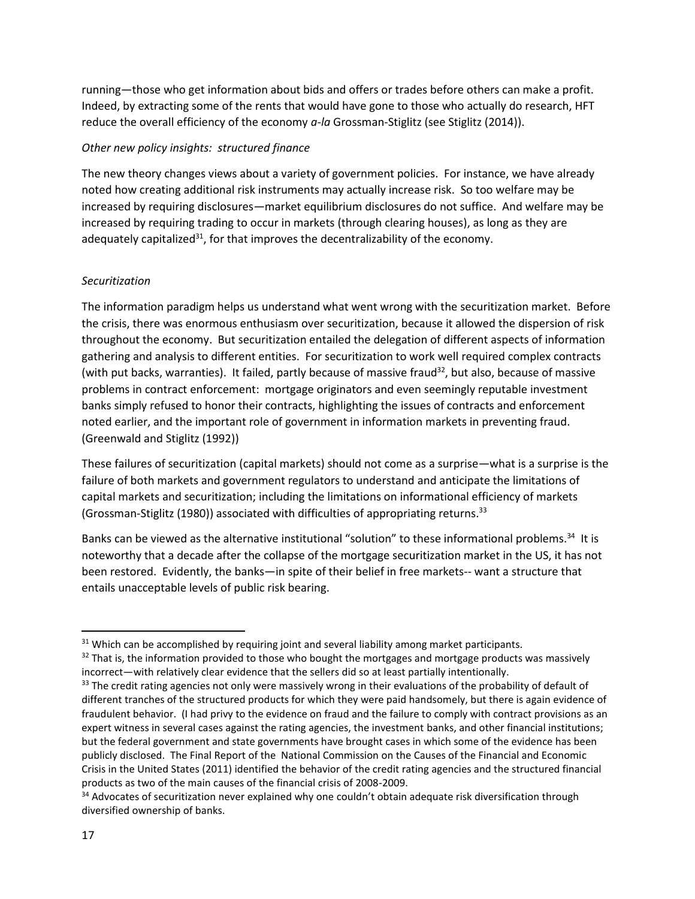running—those who get information about bids and offers or trades before others can make a profit. Indeed, by extracting some of the rents that would have gone to those who actually do research, HFT reduce the overall efficiency of the economy *a-la* Grossman-Stiglitz (see Stiglitz (2014)).

# *Other new policy insights: structured finance*

The new theory changes views about a variety of government policies. For instance, we have already noted how creating additional risk instruments may actually increase risk. So too welfare may be increased by requiring disclosures—market equilibrium disclosures do not suffice. And welfare may be increased by requiring trading to occur in markets (through clearing houses), as long as they are adequately capitalized<sup>31</sup>, for that improves the decentralizability of the economy.

#### *Securitization*

The information paradigm helps us understand what went wrong with the securitization market. Before the crisis, there was enormous enthusiasm over securitization, because it allowed the dispersion of risk throughout the economy. But securitization entailed the delegation of different aspects of information gathering and analysis to different entities. For securitization to work well required complex contracts (with put backs, warranties). It failed, partly because of massive fraud<sup>32</sup>, but also, because of massive problems in contract enforcement: mortgage originators and even seemingly reputable investment banks simply refused to honor their contracts, highlighting the issues of contracts and enforcement noted earlier, and the important role of government in information markets in preventing fraud. (Greenwald and Stiglitz (1992))

These failures of securitization (capital markets) should not come as a surprise—what is a surprise is the failure of both markets and government regulators to understand and anticipate the limitations of capital markets and securitization; including the limitations on informational efficiency of markets (Grossman-Stiglitz (1980)) associated with difficulties of appropriating returns.<sup>33</sup>

Banks can be viewed as the alternative institutional "solution" to these informational problems.<sup>34</sup> It is noteworthy that a decade after the collapse of the mortgage securitization market in the US, it has not been restored. Evidently, the banks—in spite of their belief in free markets-- want a structure that entails unacceptable levels of public risk bearing.

<sup>&</sup>lt;sup>31</sup> Which can be accomplished by requiring joint and several liability among market participants.

 $32$  That is, the information provided to those who bought the mortgages and mortgage products was massively incorrect—with relatively clear evidence that the sellers did so at least partially intentionally.

<sup>&</sup>lt;sup>33</sup> The credit rating agencies not only were massively wrong in their evaluations of the probability of default of different tranches of the structured products for which they were paid handsomely, but there is again evidence of fraudulent behavior. (I had privy to the evidence on fraud and the failure to comply with contract provisions as an expert witness in several cases against the rating agencies, the investment banks, and other financial institutions; but the federal government and state governments have brought cases in which some of the evidence has been publicly disclosed. The Final Report of the National Commission on the Causes of the Financial and Economic Crisis in the United States (2011) identified the behavior of the credit rating agencies and the structured financial products as two of the main causes of the financial crisis of 2008-2009.

<sup>&</sup>lt;sup>34</sup> Advocates of securitization never explained why one couldn't obtain adequate risk diversification through diversified ownership of banks.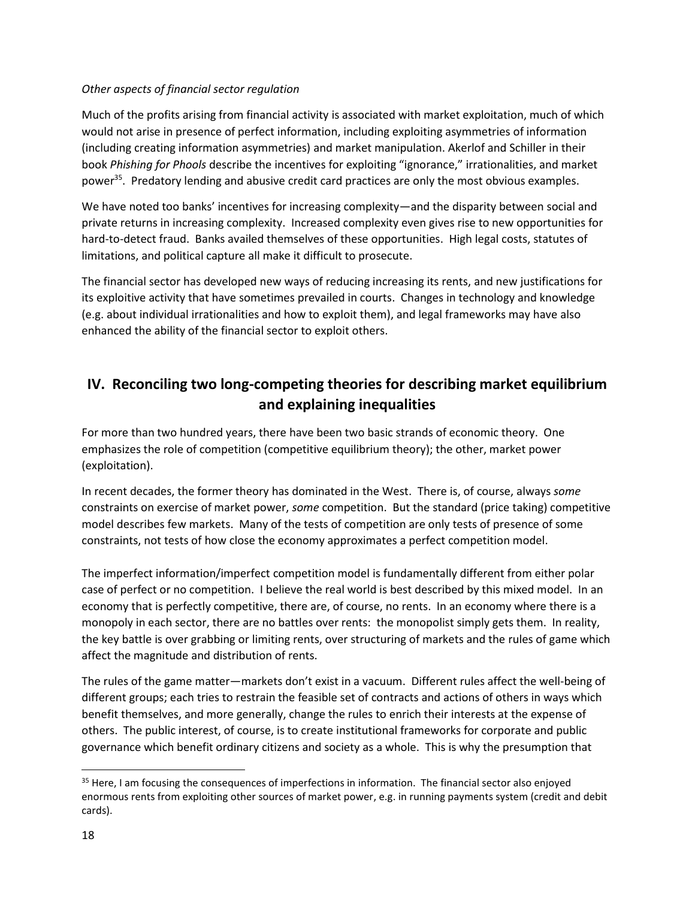#### *Other aspects of financial sector regulation*

Much of the profits arising from financial activity is associated with market exploitation, much of which would not arise in presence of perfect information, including exploiting asymmetries of information (including creating information asymmetries) and market manipulation. Akerlof and Schiller in their book *Phishing for Phools* describe the incentives for exploiting "ignorance," irrationalities, and market power<sup>35</sup>. Predatory lending and abusive credit card practices are only the most obvious examples.

We have noted too banks' incentives for increasing complexity—and the disparity between social and private returns in increasing complexity. Increased complexity even gives rise to new opportunities for hard-to-detect fraud. Banks availed themselves of these opportunities. High legal costs, statutes of limitations, and political capture all make it difficult to prosecute.

The financial sector has developed new ways of reducing increasing its rents, and new justifications for its exploitive activity that have sometimes prevailed in courts. Changes in technology and knowledge (e.g. about individual irrationalities and how to exploit them), and legal frameworks may have also enhanced the ability of the financial sector to exploit others.

# **IV. Reconciling two long-competing theories for describing market equilibrium and explaining inequalities**

For more than two hundred years, there have been two basic strands of economic theory. One emphasizes the role of competition (competitive equilibrium theory); the other, market power (exploitation).

In recent decades, the former theory has dominated in the West. There is, of course, always *some*  constraints on exercise of market power, *some* competition. But the standard (price taking) competitive model describes few markets. Many of the tests of competition are only tests of presence of some constraints, not tests of how close the economy approximates a perfect competition model.

The imperfect information/imperfect competition model is fundamentally different from either polar case of perfect or no competition. I believe the real world is best described by this mixed model. In an economy that is perfectly competitive, there are, of course, no rents. In an economy where there is a monopoly in each sector, there are no battles over rents: the monopolist simply gets them. In reality, the key battle is over grabbing or limiting rents, over structuring of markets and the rules of game which affect the magnitude and distribution of rents.

The rules of the game matter—markets don't exist in a vacuum. Different rules affect the well-being of different groups; each tries to restrain the feasible set of contracts and actions of others in ways which benefit themselves, and more generally, change the rules to enrich their interests at the expense of others. The public interest, of course, is to create institutional frameworks for corporate and public governance which benefit ordinary citizens and society as a whole. This is why the presumption that

 $\overline{a}$ 

<sup>&</sup>lt;sup>35</sup> Here, I am focusing the consequences of imperfections in information. The financial sector also enjoyed enormous rents from exploiting other sources of market power, e.g. in running payments system (credit and debit cards).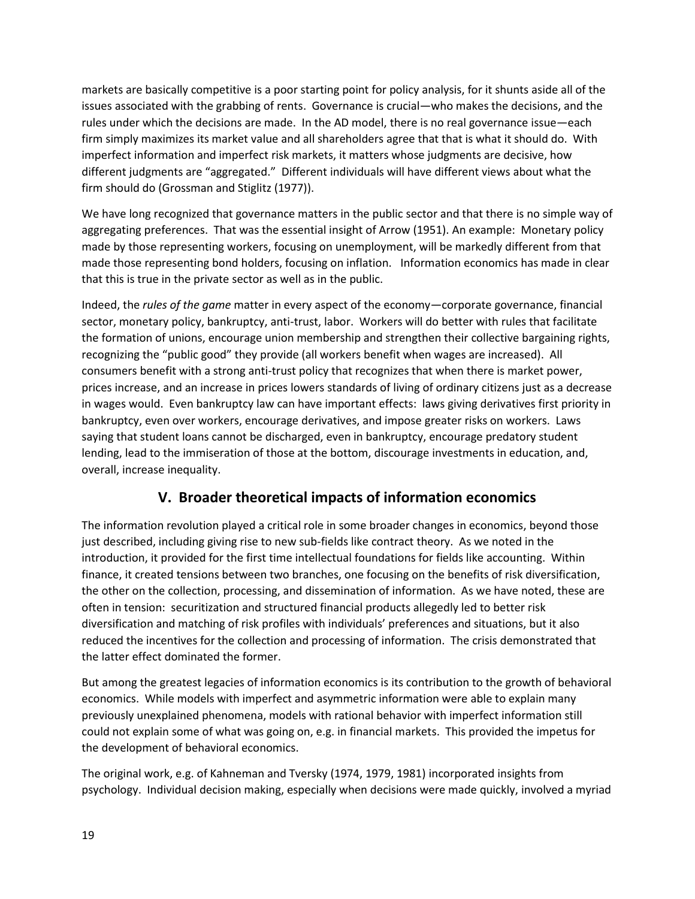markets are basically competitive is a poor starting point for policy analysis, for it shunts aside all of the issues associated with the grabbing of rents. Governance is crucial—who makes the decisions, and the rules under which the decisions are made. In the AD model, there is no real governance issue—each firm simply maximizes its market value and all shareholders agree that that is what it should do. With imperfect information and imperfect risk markets, it matters whose judgments are decisive, how different judgments are "aggregated." Different individuals will have different views about what the firm should do (Grossman and Stiglitz (1977)).

We have long recognized that governance matters in the public sector and that there is no simple way of aggregating preferences. That was the essential insight of Arrow (1951). An example: Monetary policy made by those representing workers, focusing on unemployment, will be markedly different from that made those representing bond holders, focusing on inflation. Information economics has made in clear that this is true in the private sector as well as in the public.

Indeed, the *rules of the game* matter in every aspect of the economy—corporate governance, financial sector, monetary policy, bankruptcy, anti-trust, labor. Workers will do better with rules that facilitate the formation of unions, encourage union membership and strengthen their collective bargaining rights, recognizing the "public good" they provide (all workers benefit when wages are increased). All consumers benefit with a strong anti-trust policy that recognizes that when there is market power, prices increase, and an increase in prices lowers standards of living of ordinary citizens just as a decrease in wages would. Even bankruptcy law can have important effects: laws giving derivatives first priority in bankruptcy, even over workers, encourage derivatives, and impose greater risks on workers. Laws saying that student loans cannot be discharged, even in bankruptcy, encourage predatory student lending, lead to the immiseration of those at the bottom, discourage investments in education, and, overall, increase inequality.

# **V. Broader theoretical impacts of information economics**

The information revolution played a critical role in some broader changes in economics, beyond those just described, including giving rise to new sub-fields like contract theory. As we noted in the introduction, it provided for the first time intellectual foundations for fields like accounting. Within finance, it created tensions between two branches, one focusing on the benefits of risk diversification, the other on the collection, processing, and dissemination of information. As we have noted, these are often in tension: securitization and structured financial products allegedly led to better risk diversification and matching of risk profiles with individuals' preferences and situations, but it also reduced the incentives for the collection and processing of information. The crisis demonstrated that the latter effect dominated the former.

But among the greatest legacies of information economics is its contribution to the growth of behavioral economics. While models with imperfect and asymmetric information were able to explain many previously unexplained phenomena, models with rational behavior with imperfect information still could not explain some of what was going on, e.g. in financial markets. This provided the impetus for the development of behavioral economics.

The original work, e.g. of Kahneman and Tversky (1974, 1979, 1981) incorporated insights from psychology. Individual decision making, especially when decisions were made quickly, involved a myriad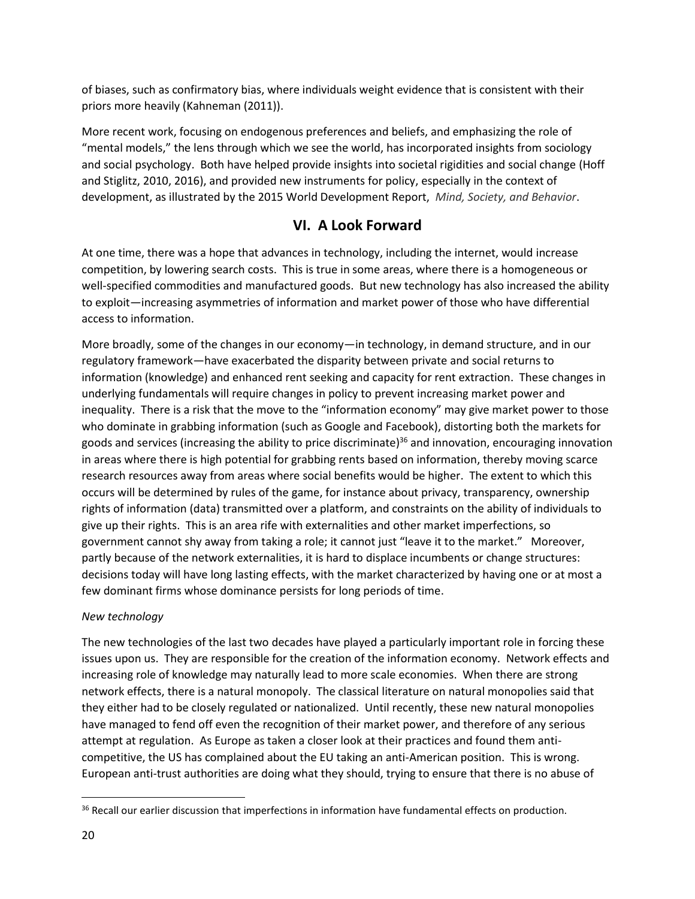of biases, such as confirmatory bias, where individuals weight evidence that is consistent with their priors more heavily (Kahneman (2011)).

More recent work, focusing on endogenous preferences and beliefs, and emphasizing the role of "mental models," the lens through which we see the world, has incorporated insights from sociology and social psychology. Both have helped provide insights into societal rigidities and social change (Hoff and Stiglitz, 2010, 2016), and provided new instruments for policy, especially in the context of development, as illustrated by the 2015 World Development Report, *Mind, Society, and Behavior*.

# **VI. A Look Forward**

At one time, there was a hope that advances in technology, including the internet, would increase competition, by lowering search costs. This is true in some areas, where there is a homogeneous or well-specified commodities and manufactured goods. But new technology has also increased the ability to exploit—increasing asymmetries of information and market power of those who have differential access to information.

More broadly, some of the changes in our economy—in technology, in demand structure, and in our regulatory framework—have exacerbated the disparity between private and social returns to information (knowledge) and enhanced rent seeking and capacity for rent extraction. These changes in underlying fundamentals will require changes in policy to prevent increasing market power and inequality. There is a risk that the move to the "information economy" may give market power to those who dominate in grabbing information (such as Google and Facebook), distorting both the markets for goods and services (increasing the ability to price discriminate)<sup>36</sup> and innovation, encouraging innovation in areas where there is high potential for grabbing rents based on information, thereby moving scarce research resources away from areas where social benefits would be higher. The extent to which this occurs will be determined by rules of the game, for instance about privacy, transparency, ownership rights of information (data) transmitted over a platform, and constraints on the ability of individuals to give up their rights. This is an area rife with externalities and other market imperfections, so government cannot shy away from taking a role; it cannot just "leave it to the market." Moreover, partly because of the network externalities, it is hard to displace incumbents or change structures: decisions today will have long lasting effects, with the market characterized by having one or at most a few dominant firms whose dominance persists for long periods of time.

# *New technology*

The new technologies of the last two decades have played a particularly important role in forcing these issues upon us. They are responsible for the creation of the information economy. Network effects and increasing role of knowledge may naturally lead to more scale economies. When there are strong network effects, there is a natural monopoly. The classical literature on natural monopolies said that they either had to be closely regulated or nationalized. Until recently, these new natural monopolies have managed to fend off even the recognition of their market power, and therefore of any serious attempt at regulation. As Europe as taken a closer look at their practices and found them anticompetitive, the US has complained about the EU taking an anti-American position. This is wrong. European anti-trust authorities are doing what they should, trying to ensure that there is no abuse of

<sup>&</sup>lt;sup>36</sup> Recall our earlier discussion that imperfections in information have fundamental effects on production.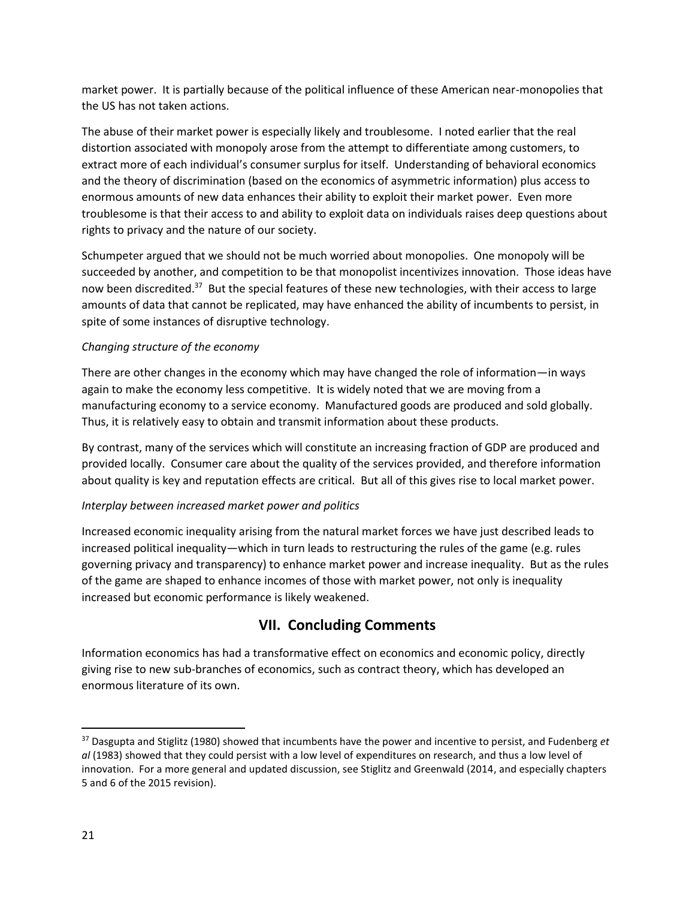market power. It is partially because of the political influence of these American near-monopolies that the US has not taken actions.

The abuse of their market power is especially likely and troublesome. I noted earlier that the real distortion associated with monopoly arose from the attempt to differentiate among customers, to extract more of each individual's consumer surplus for itself. Understanding of behavioral economics and the theory of discrimination (based on the economics of asymmetric information) plus access to enormous amounts of new data enhances their ability to exploit their market power. Even more troublesome is that their access to and ability to exploit data on individuals raises deep questions about rights to privacy and the nature of our society.

Schumpeter argued that we should not be much worried about monopolies. One monopoly will be succeeded by another, and competition to be that monopolist incentivizes innovation. Those ideas have now been discredited.<sup>37</sup> But the special features of these new technologies, with their access to large amounts of data that cannot be replicated, may have enhanced the ability of incumbents to persist, in spite of some instances of disruptive technology.

# *Changing structure of the economy*

There are other changes in the economy which may have changed the role of information—in ways again to make the economy less competitive. It is widely noted that we are moving from a manufacturing economy to a service economy. Manufactured goods are produced and sold globally. Thus, it is relatively easy to obtain and transmit information about these products.

By contrast, many of the services which will constitute an increasing fraction of GDP are produced and provided locally. Consumer care about the quality of the services provided, and therefore information about quality is key and reputation effects are critical. But all of this gives rise to local market power.

# *Interplay between increased market power and politics*

Increased economic inequality arising from the natural market forces we have just described leads to increased political inequality—which in turn leads to restructuring the rules of the game (e.g. rules governing privacy and transparency) to enhance market power and increase inequality. But as the rules of the game are shaped to enhance incomes of those with market power, not only is inequality increased but economic performance is likely weakened.

# **VII. Concluding Comments**

Information economics has had a transformative effect on economics and economic policy, directly giving rise to new sub-branches of economics, such as contract theory, which has developed an enormous literature of its own.

l

<sup>37</sup> Dasgupta and Stiglitz (1980) showed that incumbents have the power and incentive to persist, and Fudenberg *et al* (1983) showed that they could persist with a low level of expenditures on research, and thus a low level of innovation. For a more general and updated discussion, see Stiglitz and Greenwald (2014, and especially chapters 5 and 6 of the 2015 revision).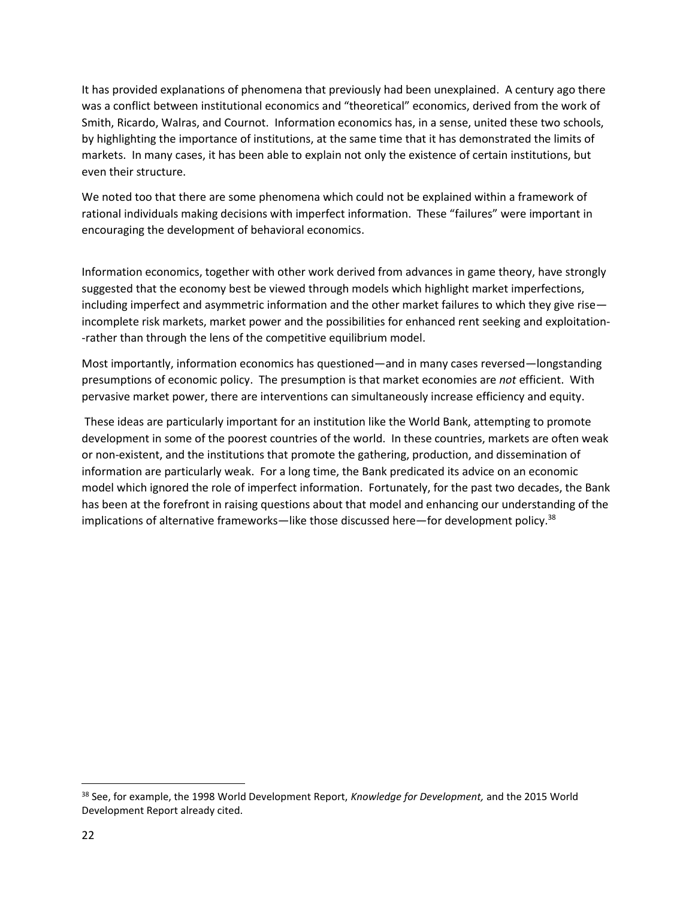It has provided explanations of phenomena that previously had been unexplained. A century ago there was a conflict between institutional economics and "theoretical" economics, derived from the work of Smith, Ricardo, Walras, and Cournot. Information economics has, in a sense, united these two schools, by highlighting the importance of institutions, at the same time that it has demonstrated the limits of markets. In many cases, it has been able to explain not only the existence of certain institutions, but even their structure.

We noted too that there are some phenomena which could not be explained within a framework of rational individuals making decisions with imperfect information. These "failures" were important in encouraging the development of behavioral economics.

Information economics, together with other work derived from advances in game theory, have strongly suggested that the economy best be viewed through models which highlight market imperfections, including imperfect and asymmetric information and the other market failures to which they give rise incomplete risk markets, market power and the possibilities for enhanced rent seeking and exploitation- -rather than through the lens of the competitive equilibrium model.

Most importantly, information economics has questioned—and in many cases reversed—longstanding presumptions of economic policy. The presumption is that market economies are *not* efficient. With pervasive market power, there are interventions can simultaneously increase efficiency and equity.

These ideas are particularly important for an institution like the World Bank, attempting to promote development in some of the poorest countries of the world. In these countries, markets are often weak or non-existent, and the institutions that promote the gathering, production, and dissemination of information are particularly weak. For a long time, the Bank predicated its advice on an economic model which ignored the role of imperfect information. Fortunately, for the past two decades, the Bank has been at the forefront in raising questions about that model and enhancing our understanding of the implications of alternative frameworks—like those discussed here—for development policy.<sup>38</sup>

<sup>38</sup> See, for example, the 1998 World Development Report, *Knowledge for Development,* and the 2015 World Development Report already cited.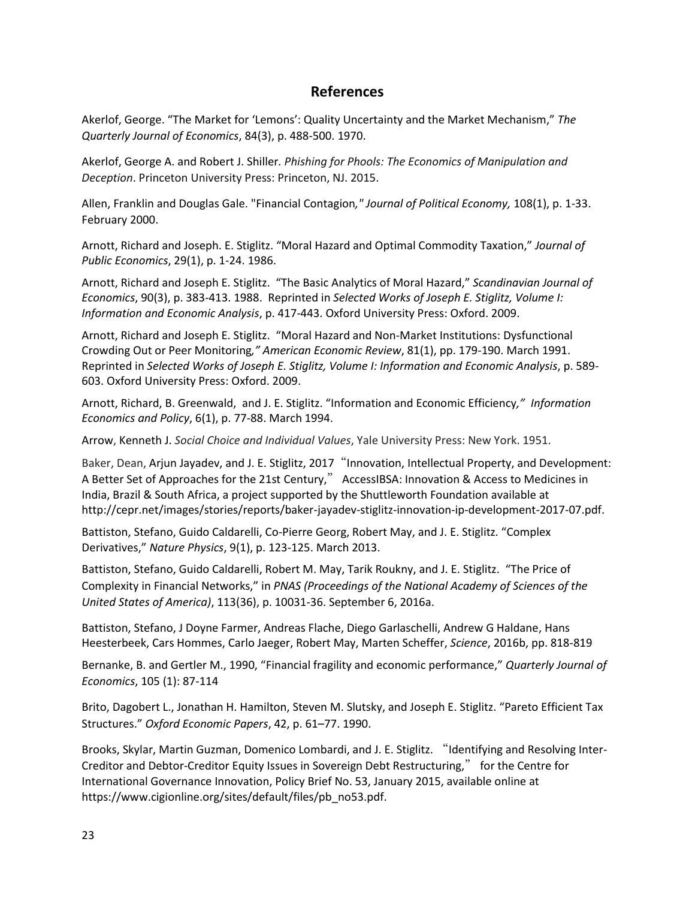# **References**

Akerlof, George. "The Market for 'Lemons': Quality Uncertainty and the Market Mechanism," *The Quarterly Journal of Economics*, 84(3), p. 488-500. 1970.

Akerlof, George A. and Robert J. Shiller*. Phishing for Phools: The Economics of Manipulation and Deception*. Princeton University Press: Princeton, NJ. 2015.

Allen, Franklin and Douglas Gale. "Financial Contagion*," Journal of Political Economy,* 108(1), p. 1-33. February 2000.

Arnott, Richard and Joseph. E. Stiglitz. "Moral Hazard and Optimal Commodity Taxation," *Journal of Public Economics*, 29(1), p. 1-24. 1986.

Arnott, Richard and Joseph E. Stiglitz. "The Basic Analytics of Moral Hazard," *Scandinavian Journal of Economics*, 90(3), p. 383-413. 1988. Reprinted in *Selected Works of Joseph E. Stiglitz, Volume I: Information and Economic Analysis*, p. 417-443. Oxford University Press: Oxford. 2009.

Arnott, Richard and Joseph E. Stiglitz. "Moral Hazard and Non-Market Institutions: Dysfunctional Crowding Out or Peer Monitoring*," American Economic Review*, 81(1), pp. 179-190. March 1991. Reprinted in *Selected Works of Joseph E. Stiglitz, Volume I: Information and Economic Analysis*, p. 589- 603. Oxford University Press: Oxford. 2009.

Arnott, Richard, B. Greenwald, and J. E. Stiglitz. "Information and Economic Efficiency*," Information Economics and Policy*, 6(1), p. 77-88. March 1994.

Arrow, Kenneth J. *Social Choice and Individual Values*, Yale University Press: New York. 1951.

Baker, Dean, Arjun Jayadev, and J. E. Stiglitz, 2017 "Innovation, Intellectual Property, and Development: A Better Set of Approaches for the 21st Century," AccessIBSA: Innovation & Access to Medicines in India, Brazil & South Africa, a project supported by the Shuttleworth Foundation available at http://cepr.net/images/stories/reports/baker-jayadev-stiglitz-innovation-ip-development-2017-07.pdf.

Battiston, Stefano, Guido Caldarelli, Co-Pierre Georg, Robert May, and J. E. Stiglitz. "Complex Derivatives," *Nature Physics*, 9(1), p. 123-125. March 2013.

Battiston, Stefano, Guido Caldarelli, Robert M. May, Tarik Roukny, and J. E. Stiglitz. "The Price of Complexity in Financial Networks," in *PNAS (Proceedings of the National Academy of Sciences of the United States of America)*, 113(36), p. 10031-36. September 6, 2016a.

Battiston, Stefano, J Doyne Farmer, Andreas Flache, Diego Garlaschelli, Andrew G Haldane, Hans Heesterbeek, Cars Hommes, Carlo Jaeger, Robert May, Marten Scheffer, *Science*, 2016b, pp. 818-819

Bernanke, B. and Gertler M., 1990, "Financial fragility and economic performance," *Quarterly Journal of Economics*, 105 (1): 87-114

Brito, Dagobert L., Jonathan H. Hamilton, Steven M. Slutsky, and Joseph E. Stiglitz. "Pareto Efficient Tax Structures." *Oxford Economic Papers*, 42, p. 61–77. 1990.

Brooks, Skylar, Martin Guzman, Domenico Lombardi, and J. E. Stiglitz. "Identifying and Resolving Inter-Creditor and Debtor-Creditor Equity Issues in Sovereign Debt Restructuring," for the Centre for International Governance Innovation, Policy Brief No. 53, January 2015, available online at https://www.cigionline.org/sites/default/files/pb\_no53.pdf.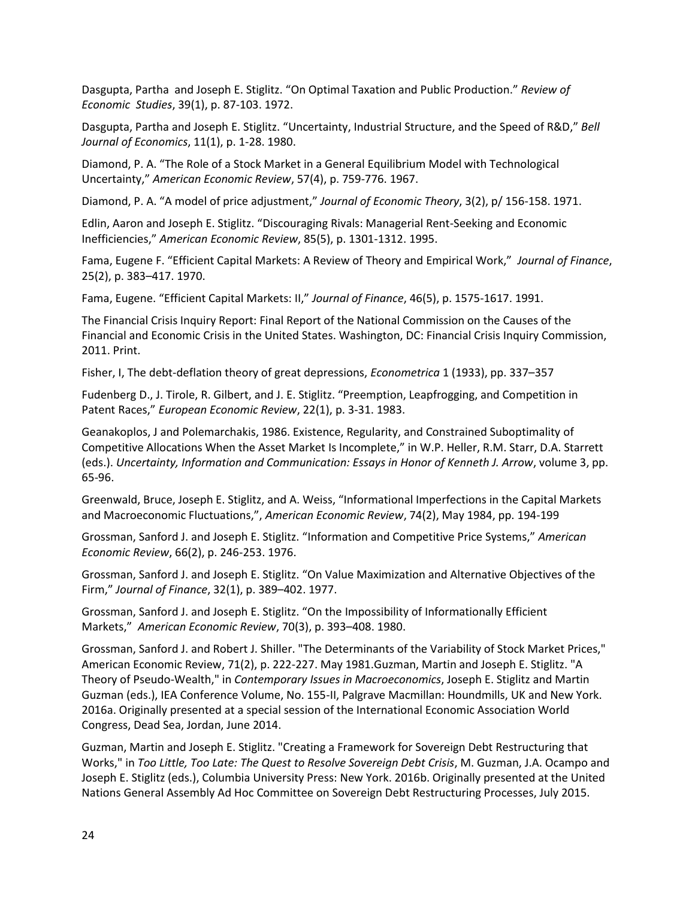Dasgupta, Partha and Joseph E. Stiglitz. "On Optimal Taxation and Public Production." *Review of Economic Studies*, 39(1), p. 87-103. 1972.

Dasgupta, Partha and Joseph E. Stiglitz. "Uncertainty, Industrial Structure, and the Speed of R&D," *Bell Journal of Economics*, 11(1), p. 1-28. 1980.

Diamond, P. A. "The Role of a Stock Market in a General Equilibrium Model with Technological Uncertainty," *American Economic Review*, 57(4), p. 759-776. 1967.

Diamond, P. A. "A model of price adjustment," *Journal of Economic Theory*, 3(2), p/ 156-158. 1971.

Edlin, Aaron and Joseph E. Stiglitz. "Discouraging Rivals: Managerial Rent-Seeking and Economic Inefficiencies," *American Economic Review*, 85(5), p. 1301-1312. 1995.

Fama, Eugene F. "Efficient Capital Markets: A Review of Theory and Empirical Work," *Journal of Finance*, 25(2), p. 383–417. 1970.

Fama, Eugene. "Efficient Capital Markets: II," *Journal of Finance*, 46(5), p. 1575-1617. 1991.

The Financial Crisis Inquiry Report: Final Report of the National Commission on the Causes of the Financial and Economic Crisis in the United States. Washington, DC: Financial Crisis Inquiry Commission, 2011. Print.

Fisher, I, The debt-deflation theory of great depressions, *Econometrica* 1 (1933), pp. 337–357

Fudenberg D., J. Tirole, R. Gilbert, and J. E. Stiglitz. "Preemption, Leapfrogging, and Competition in Patent Races," *European Economic Review*, 22(1), p. 3-31. 1983.

Geanakoplos, J and Polemarchakis, 1986. Existence, Regularity, and Constrained Suboptimality of Competitive Allocations When the Asset Market Is Incomplete," in W.P. Heller, R.M. Starr, D.A. Starrett (eds.). *Uncertainty, Information and Communication: Essays in Honor of Kenneth J. Arrow*, volume 3, pp. 65-96.

Greenwald, Bruce, Joseph E. Stiglitz, and A. Weiss, "Informational Imperfections in the Capital Markets and Macroeconomic Fluctuations,", *American Economic Review*, 74(2), May 1984, pp. 194-199

Grossman, Sanford J. and Joseph E. Stiglitz. "Information and Competitive Price Systems," *American Economic Review*, 66(2), p. 246-253. 1976.

Grossman, Sanford J. and Joseph E. Stiglitz. "On Value Maximization and Alternative Objectives of the Firm," *Journal of Finance*, 32(1), p. 389–402. 1977.

Grossman, Sanford J. and Joseph E. Stiglitz. "On the Impossibility of Informationally Efficient Markets," *American Economic Review*, 70(3), p. 393–408. 1980.

Grossman, Sanford J. and Robert J. Shiller. "The Determinants of the Variability of Stock Market Prices," American Economic Review, 71(2), p. 222-227. May 1981.Guzman, Martin and Joseph E. Stiglitz. "A Theory of Pseudo-Wealth," in *Contemporary Issues in Macroeconomics*, Joseph E. Stiglitz and Martin Guzman (eds.), IEA Conference Volume, No. 155-II, Palgrave Macmillan: Houndmills, UK and New York. 2016a. Originally presented at a special session of the International Economic Association World Congress, Dead Sea, Jordan, June 2014.

Guzman, Martin and Joseph E. Stiglitz. "Creating a Framework for Sovereign Debt Restructuring that Works[,"](http://www8.gsb.columbia.edu/faculty/jstiglitz/sites/jstiglitz/files/CreatingaFrameworkforSovereignDebtRestructuring.pdf) in *Too Little, Too Late: The Quest to Resolve Sovereign Debt Crisis*, M. Guzman, J.A. Ocampo and Joseph E. Stiglitz (eds.), Columbia University Press: New York. 2016b. Originally presented at the United Nations General Assembly Ad Hoc Committee on Sovereign Debt Restructuring Processes, July 2015.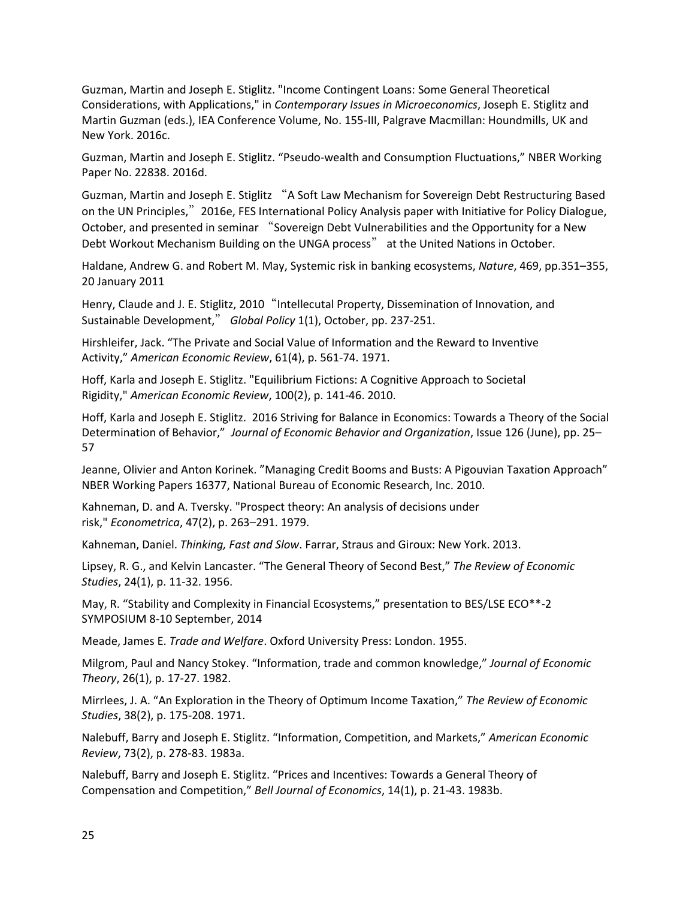Guzman, Martin and Joseph E. Stiglitz. "Income Contingent Loans: Some General Theoretical Considerations, with Applications," in *Contemporary Issues in Microeconomics*, Joseph E. Stiglitz and Martin Guzman (eds.), IEA Conference Volume, No. 155-III, Palgrave Macmillan: Houndmills, UK and New York. 2016c.

Guzman, Martin and Joseph E. Stiglitz. "Pseudo-wealth and Consumption Fluctuations," NBER Working Paper No. 22838. 2016d.

Guzman, Martin and Joseph E. Stiglitz "A Soft Law Mechanism for Sovereign Debt Restructuring Based on the UN Principles,"2016e, FES International Policy Analysis paper with Initiative for Policy Dialogue, October, and presented in seminar "Sovereign Debt Vulnerabilities and the Opportunity for a New Debt Workout Mechanism Building on the UNGA process" at the United Nations in October.

Haldane, Andrew G. and [Robert M. May,](http://www.nature.com/nature/journal/v469/n7330/full/nature09659.html?foxtrotcallback=true#auth-2) Systemic risk in banking ecosystems, *Nature*, 469, pp.351–355, 20 January 2011

Henry, Claude and J. E. Stiglitz, 2010 "Intellecutal Property, Dissemination of Innovation, and Sustainable Development," *Global Policy* 1(1), October, pp. 237-251.

Hirshleifer, Jack. "The Private and Social Value of Information and the Reward to Inventive Activity," *American Economic Review*, 61(4), p. 561-74. 1971.

Hoff, Karla and Joseph E. Stiglitz. "Equilibrium Fictions: A Cognitive Approach to Societal Rigidity," *American Economic Review*, 100(2), p. 141-46. 2010.

Hoff, Karla and Joseph E. Stiglitz. 2016 Striving for Balance in Economics: Towards a Theory of the Social Determination of Behavior," *Journal of Economic Behavior and Organization*, Issue 126 (June), pp. 25– 57

Jeanne, Olivier and Anton Korinek. "Managing Credit Booms and Busts: A Pigouvian Taxation Approach" NBER Working Papers 16377, National Bureau of Economic Research, Inc. 2010.

Kahneman, D. and A. Tversky. "Prospect theory: An analysis of decisions under risk," *Econometrica*, 47(2), p. 263–291. 1979.

Kahneman, Daniel. *Thinking, Fast and Slow*. Farrar, Straus and Giroux: New York. 2013.

Lipsey, R. G., and Kelvin Lancaster. "The General Theory of Second Best," *The Review of Economic Studies*, 24(1), p. 11-32. 1956.

May, R. "Stability and Complexity in Financial Ecosystems," presentation to BES/LSE ECO\*\*-2 SYMPOSIUM 8-10 September, 2014

Meade, James E. *Trade and Welfare*. Oxford University Press: London. 1955.

Milgrom, Paul and Nancy Stokey. "Information, trade and common knowledge," *Journal of Economic Theory*, 26(1), p. 17-27. 1982.

Mirrlees, J. A. "An Exploration in the Theory of Optimum Income Taxation," *The Review of Economic Studies*, 38(2), p. 175-208. 1971.

Nalebuff, Barry and Joseph E. Stiglitz. "[Information, Competition, and Markets,](http://econpapers.repec.org/RePEc:aea:aecrev:v:73:y:1983:i:2:p:278-83)" *American Economic Review*, 73(2), p. 278-83. 1983a.

Nalebuff, Barry and Joseph E. Stiglitz. "Prices and Incentives: Towards a General Theory of Compensation and Competition," *Bell Journal of Economics*, 14(1), p. 21-43. 1983b.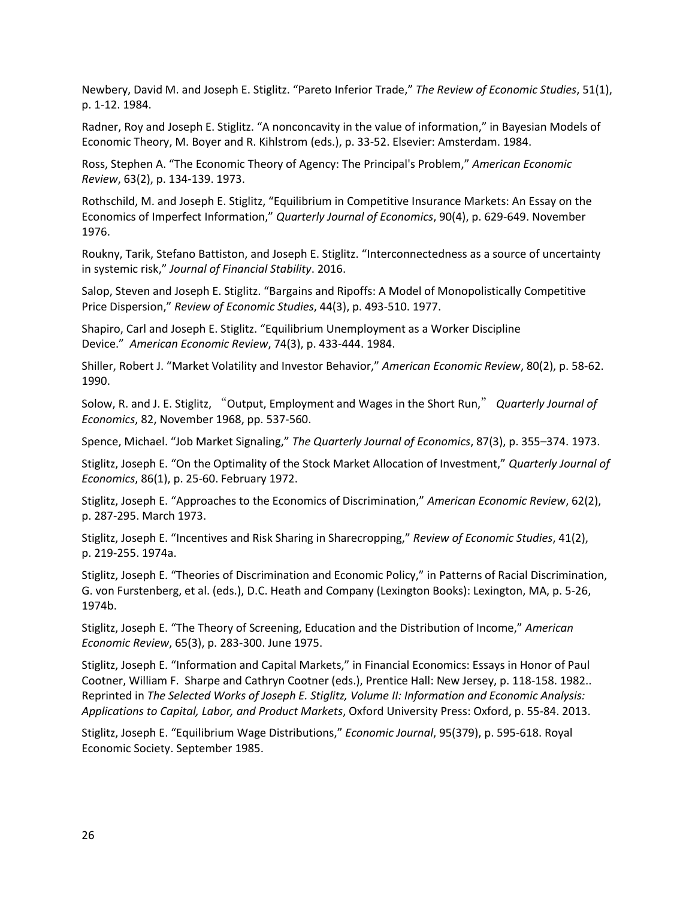Newbery, David M. and Joseph E. Stiglitz. "Pareto Inferior Trade," *The Review of Economic Studies*, 51(1), p. 1-12. 1984.

Radner, Roy and Joseph E. Stiglitz. "A nonconcavity in the value of information," in Bayesian Models of Economic Theory, M. Boyer and R. Kihlstrom (eds.), p. 33-52. Elsevier: Amsterdam. 1984.

Ross, Stephen A. "The Economic Theory of Agency: The Principal's Problem," *American Economic Review*, 63(2), p. 134-139. 1973.

Rothschild, M. and Joseph E. Stiglitz, "Equilibrium in Competitive Insurance Markets: An Essay on the Economics of Imperfect Information," *Quarterly Journal of Economics*, 90(4), p. 629-649. November 1976.

Roukny, Tarik, Stefano Battiston, and Joseph E. Stiglitz. "Interconnectedness as a source of uncertainty in systemic risk," *Journal of Financial Stability*. 2016.

Salop, Steven and Joseph E. Stiglitz. "Bargains and Ripoffs: A Model of Monopolistically Competitive Price Dispersion," *Review of Economic Studies*, 44(3), p. 493-510. 1977.

Shapiro, Carl and Joseph E. Stiglitz. "Equilibrium Unemployment as a Worker Discipline Device." *American Economic Review*, 74(3), p. 433-444. 1984.

Shiller, Robert J. "Market Volatility and Investor Behavior," *American Economic Review*, 80(2), p. 58-62. 1990.

Solow, R. and J. E. Stiglitz, "Output, Employment and Wages in the Short Run," *Quarterly Journal of Economics*, 82, November 1968, pp. 537-560.

Spence, Michael. "Job Market Signaling," *The Quarterly Journal of Economics*, 87(3), p. 355–374. 1973.

Stiglitz, Joseph E. "On the Optimality of the Stock Market Allocation of Investment," *Quarterly Journal of Economics*, 86(1), p. 25-60. February 1972.

Stiglitz, Joseph E. "Approaches to the Economics of Discrimination," *American Economic Review*, 62(2), p. 287-295. March 1973.

Stiglitz, Joseph E. "Incentives and Risk Sharing in Sharecropping," *Review of Economic Studies*, 41(2), p. 219-255. 1974a.

Stiglitz, Joseph E. "Theories of Discrimination and Economic Policy," in Patterns of Racial Discrimination, G. von Furstenberg, et al. (eds.), D.C. Heath and Company (Lexington Books): Lexington, MA, p. 5-26, 1974b.

Stiglitz, Joseph E. "The Theory of Screening, Education and the Distribution of Income," *American Economic Review*, 65(3), p. 283-300. June 1975.

Stiglitz, Joseph E. "Information and Capital Markets," in Financial Economics: Essays in Honor of Paul Cootner, William F. Sharpe and Cathryn Cootner (eds.), Prentice Hall: New Jersey, p. 118-158. 1982.. Reprinted in *The Selected Works of Joseph E. Stiglitz, Volume II: Information and Economic Analysis: Applications to Capital, Labor, and Product Markets*, Oxford University Press: Oxford, p. 55-84. 2013.

Stiglitz, Joseph E. "Equilibrium Wage Distributions," *Economic Journal*, 95(379), p. 595-618. Royal Economic Society. September 1985.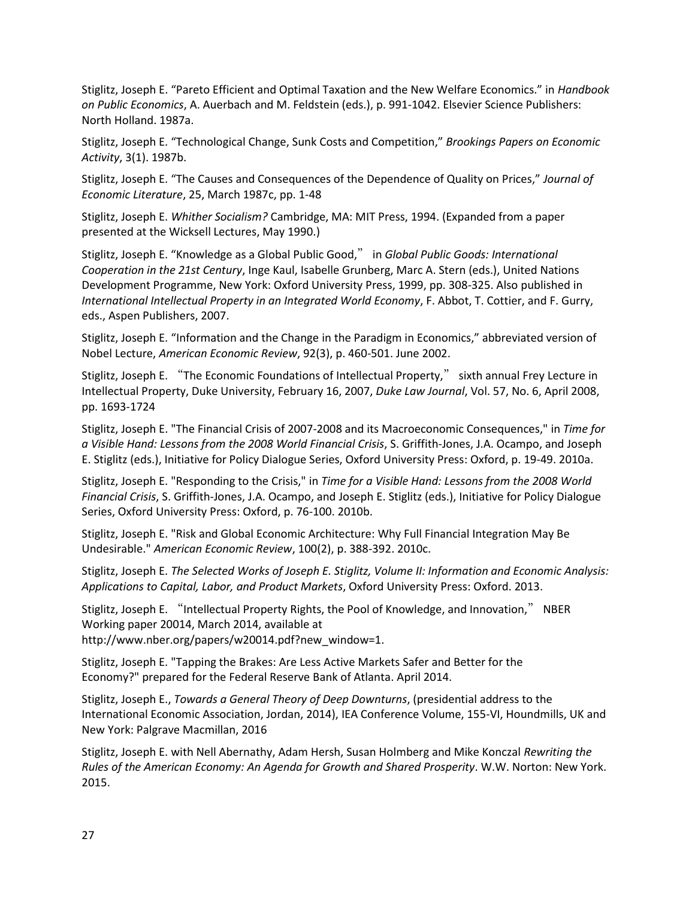Stiglitz, Joseph E. "Pareto Efficient and Optimal Taxation and the New Welfare Economics." in *Handbook on Public Economics*, A. Auerbach and M. Feldstein (eds.), p. 991-1042. Elsevier Science Publishers: North Holland. 1987a.

Stiglitz, Joseph E. "Technological Change, Sunk Costs and Competition," *Brookings Papers on Economic Activity*, 3(1). 1987b.

Stiglitz, Joseph E. "The Causes and Consequences of the Dependence of Quality on Prices," *Journal of Economic Literature*, 25, March 1987c, pp. 1-48

Stiglitz, Joseph E. *Whither Socialism?* Cambridge, MA: MIT Press, 1994. (Expanded from a paper presented at the Wicksell Lectures, May 1990.)

Stiglitz, Joseph E. "Knowledge as a Global Public Good," in *Global Public Goods: International Cooperation in the 21st Century*, Inge Kaul, Isabelle Grunberg, Marc A. Stern (eds.), United Nations Development Programme, New York: Oxford University Press, 1999, pp. 308-325. Also published in *International Intellectual Property in an Integrated World Economy*, F. Abbot, T. Cottier, and F. Gurry, eds., Aspen Publishers, 2007.

Stiglitz, Joseph E. "Information and the Change in the Paradigm in Economics," abbreviated version of Nobel Lecture, *American Economic Review*, 92(3), p. 460-501. June 2002.

Stiglitz, Joseph E. "The Economic Foundations of Intellectual Property," sixth annual Frey Lecture in Intellectual Property, Duke University, February 16, 2007, *Duke Law Journal*, Vol. 57, No. 6, April 2008, pp. 1693-1724

Stiglitz, Joseph E. "The Financial Crisis of 2007-2008 and its Macroeconomic Consequences," in *Time for a Visible Hand: Lessons from the 2008 World Financial Crisis*, S. Griffith-Jones, J.A. Ocampo, and Joseph E. Stiglitz (eds.), Initiative for Policy Dialogue Series, Oxford University Press: Oxford, p. 19-49. 2010a.

Stiglitz, Joseph E. "Responding to the Crisis," in *Time for a Visible Hand: Lessons from the 2008 World Financial Crisis*, S. Griffith-Jones, J.A. Ocampo, and Joseph E. Stiglitz (eds.), Initiative for Policy Dialogue Series, Oxford University Press: Oxford, p. 76-100. 2010b.

Stiglitz, Joseph E. "Risk and Global Economic Architecture: Why Full Financial Integration May Be Undesirable." *American Economic Review*, 100(2), p. 388-392. 2010c.

Stiglitz, Joseph E. *The Selected Works of Joseph E. Stiglitz, Volume II: Information and Economic Analysis: Applications to Capital, Labor, and Product Markets*, Oxford University Press: Oxford. 2013.

Stiglitz, Joseph E. "Intellectual Property Rights, the Pool of Knowledge, and Innovation," NBER Working paper 20014, March 2014, available at http://www.nber.org/papers/w20014.pdf?new\_window=1.

Stiglitz, Joseph E. "Tapping the Brakes: Are Less Active Markets Safer and Better for the Economy?" prepared for the Federal Reserve Bank of Atlanta. April 2014.

Stiglitz, Joseph E., *Towards a General Theory of Deep Downturns*, (presidential address to the International Economic Association, Jordan, 2014), IEA Conference Volume, 155-VI, Houndmills, UK and New York: Palgrave Macmillan, 2016

Stiglitz, Joseph E. with Nell Abernathy, Adam Hersh, Susan Holmberg and Mike Konczal *Rewriting the Rules of the American Economy: An Agenda for Growth and Shared Prosperity*. W.W. Norton: New York. 2015.